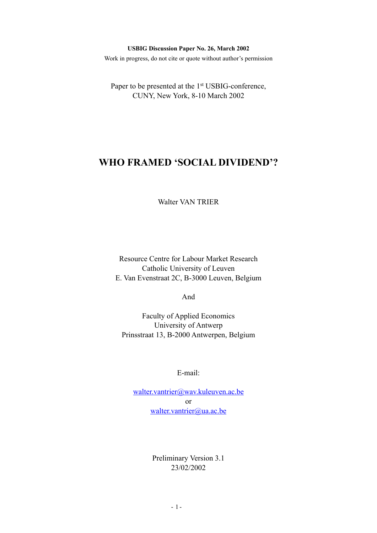#### **USBIG Discussion Paper No. 26, March 2002**

Work in progress, do not cite or quote without author's permission

Paper to be presented at the 1<sup>st</sup> USBIG-conference, CUNY, New York, 8-10 March 2002

# **WHO FRAMED 'SOCIAL DIVIDEND'?**

Walter VAN TRIER

Resource Centre for Labour Market Research Catholic University of Leuven E. Van Evenstraat 2C, B-3000 Leuven, Belgium

And

Faculty of Applied Economics University of Antwerp Prinsstraat 13, B-2000 Antwerpen, Belgium

E-mail:

[walter.vantrier@wav.kuleuven.ac.be](mailto:walter.vantrier@wav.kuleuven.ac.be) or [walter.vantrier@ua.ac.be](mailto:walter.vantrier@ua.ac.be)

> Preliminary Version 3.1 23/02/2002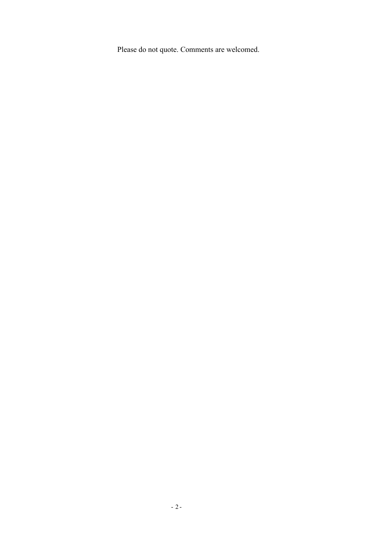Please do not quote. Comments are welcomed.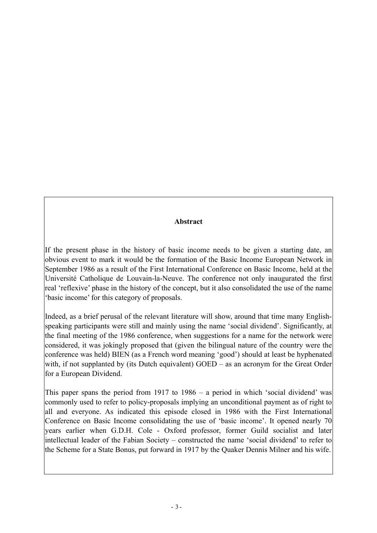# **Abstract**

If the present phase in the history of basic income needs to be given a starting date, an obvious event to mark it would be the formation of the Basic Income European Network in September 1986 as a result of the First International Conference on Basic Income, held at the Université Catholique de Louvain-la-Neuve. The conference not only inaugurated the first real 'reflexive' phase in the history of the concept, but it also consolidated the use of the name 'basic income' for this category of proposals.

Indeed, as a brief perusal of the relevant literature will show, around that time many Englishspeaking participants were still and mainly using the name 'social dividend'. Significantly, at the final meeting of the 1986 conference, when suggestions for a name for the network were considered, it was jokingly proposed that (given the bilingual nature of the country were the conference was held) BIEN (as a French word meaning 'good') should at least be hyphenated with, if not supplanted by (its Dutch equivalent) GOED – as an acronym for the Great Order for a European Dividend.

This paper spans the period from 1917 to 1986 – a period in which 'social dividend' was commonly used to refer to policy-proposals implying an unconditional payment as of right to all and everyone. As indicated this episode closed in 1986 with the First International Conference on Basic Income consolidating the use of 'basic income'. It opened nearly 70 years earlier when G.D.H. Cole - Oxford professor, former Guild socialist and later intellectual leader of the Fabian Society – constructed the name 'social dividend' to refer to the Scheme for a State Bonus, put forward in 1917 by the Quaker Dennis Milner and his wife.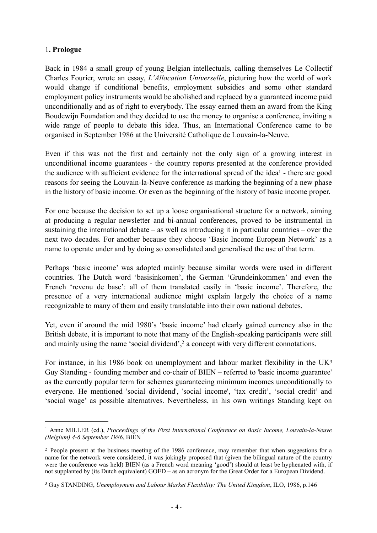## 1**. Prologue**

Back in 1984 a small group of young Belgian intellectuals, calling themselves Le Collectif Charles Fourier, wrote an essay, *L'Allocation Universelle*, picturing how the world of work would change if conditional benefits, employment subsidies and some other standard employment policy instruments would be abolished and replaced by a guaranteed income paid unconditionally and as of right to everybody. The essay earned them an award from the King Boudewijn Foundation and they decided to use the money to organise a conference, inviting a wide range of people to debate this idea. Thus, an International Conference came to be organised in September 1986 at the Université Catholique de Louvain-la-Neuve.

Even if this was not the first and certainly not the only sign of a growing interest in unconditional income guarantees - the country reports presented at the conference provided the audience with sufficient evidence for the international spread of the ide[a1](#page-3-0) - there are good reasons for seeing the Louvain-la-Neuve conference as marking the beginning of a new phase in the history of basic income. Or even as the beginning of the history of basic income proper.

For one because the decision to set up a loose organisational structure for a network, aiming at producing a regular newsletter and bi-annual conferences, proved to be instrumental in sustaining the international debate – as well as introducing it in particular countries – over the next two decades. For another because they choose 'Basic Income European Network' as a name to operate under and by doing so consolidated and generalised the use of that term.

Perhaps 'basic income' was adopted mainly because similar words were used in different countries. The Dutch word 'basisinkomen', the German 'Grundeinkommen' and even the French 'revenu de base': all of them translated easily in 'basic income'. Therefore, the presence of a very international audience might explain largely the choice of a name recognizable to many of them and easily translatable into their own national debates.

Yet, even if around the mid 1980's 'basic income' had clearly gained currency also in the British debate, it is important to note that many of the English-speaking participants were still and mainly using the name 'social dividend',<sup>2</sup> a concept with very different connotations.

For instance, in his 1986 book on unemployment and labour market flexibility in the  $UK<sup>3</sup>$  $UK<sup>3</sup>$  $UK<sup>3</sup>$ Guy Standing - founding member and co-chair of BIEN – referred to 'basic income guarantee' as the currently popular term for schemes guaranteeing minimum incomes unconditionally to everyone. He mentioned 'social dividend', 'social income', 'tax credit', 'social credit' and 'social wage' as possible alternatives. Nevertheless, in his own writings Standing kept on

<span id="page-3-0"></span><sup>1</sup> Anne MILLER (ed.), *Proceedings of the First International Conference on Basic Income, Louvain-la-Neuve (Belgium) 4-6 September 1986*, BIEN

<span id="page-3-1"></span><sup>2</sup> People present at the business meeting of the 1986 conference, may remember that when suggestions for a name for the network were considered, it was jokingly proposed that (given the bilingual nature of the country were the conference was held) BIEN (as a French word meaning 'good') should at least be hyphenated with, if not supplanted by (its Dutch equivalent) GOED – as an acronym for the Great Order for a European Dividend.

<span id="page-3-2"></span><sup>3</sup> Guy STANDING, *Unemployment and Labour Market Flexibility: The United Kingdom*, ILO, 1986, p.146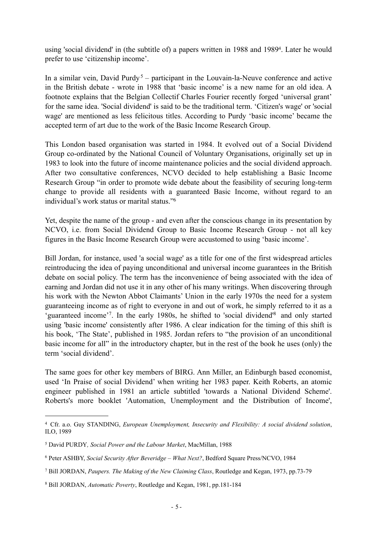using 'social dividend' in (the subtitle of) a papers written in 1988 and 198[94.](#page-4-0) Later he would prefer to use 'citizenship income'.

In a similar vein, David Purdy<sup>[5](#page-4-1)</sup> – participant in the Louvain-la-Neuve conference and active in the British debate - wrote in 1988 that 'basic income' is a new name for an old idea. A footnote explains that the Belgian Collectif Charles Fourier recently forged 'universal grant' for the same idea. 'Social dividend' is said to be the traditional term. 'Citizen's wage' or 'social wage' are mentioned as less felicitous titles. According to Purdy 'basic income' became the accepted term of art due to the work of the Basic Income Research Group.

This London based organisation was started in 1984. It evolved out of a Social Dividend Group co-ordinated by the National Council of Voluntary Organisations, originally set up in 1983 to look into the future of income maintenance policies and the social dividend approach. After two consultative conferences, NCVO decided to help establishing a Basic Income Research Group "in order to promote wide debate about the feasibility of securing long-term change to provide all residents with a guaranteed Basic Income, without regard to an individual's work status or marital status.["6](#page-4-2)

Yet, despite the name of the group - and even after the conscious change in its presentation by NCVO, i.e. from Social Dividend Group to Basic Income Research Group - not all key figures in the Basic Income Research Group were accustomed to using 'basic income'.

Bill Jordan, for instance, used 'a social wage' as a title for one of the first widespread articles reintroducing the idea of paying unconditional and universal income guarantees in the British debate on social policy. The term has the inconvenience of being associated with the idea of earning and Jordan did not use it in any other of his many writings. When discovering through his work with the Newton Abbot Claimants' Union in the early 1970s the need for a system guaranteeing income as of right to everyone in and out of work, he simply referred to it as a 'guaranteed income'[7.](#page-4-3) In the early 1980s, he shifted to 'social dividend['8](#page-4-4) and only started using 'basic income' consistently after 1986. A clear indication for the timing of this shift is his book, 'The State', published in 1985. Jordan refers to "the provision of an unconditional basic income for all" in the introductory chapter, but in the rest of the book he uses (only) the term 'social dividend'.

The same goes for other key members of BIRG. Ann Miller, an Edinburgh based economist, used 'In Praise of social Dividend' when writing her 1983 paper. Keith Roberts, an atomic engineer published in 1981 an article subtitled 'towards a National Dividend Scheme'. Roberts's more booklet 'Automation, Unemployment and the Distribution of Income',

<span id="page-4-0"></span><sup>4</sup> Cfr. a.o. Guy STANDING, *European Unemployment, Insecurity and Flexibility: A social dividend solution*, ILO, 1989

<span id="page-4-1"></span><sup>5</sup> David PURDY*, Social Power and the Labour Market*, MacMillan, 1988

<span id="page-4-2"></span><sup>6</sup> Peter ASHBY, *Social Security After Beveridge – What Next?*, Bedford Square Press/NCVO, 1984

<span id="page-4-3"></span><sup>7</sup> Bill JORDAN, *Paupers. The Making of the New Claiming Class*, Routledge and Kegan, 1973, pp.73-79

<span id="page-4-4"></span><sup>8</sup> Bill JORDAN, *Automatic Poverty*, Routledge and Kegan, 1981, pp.181-184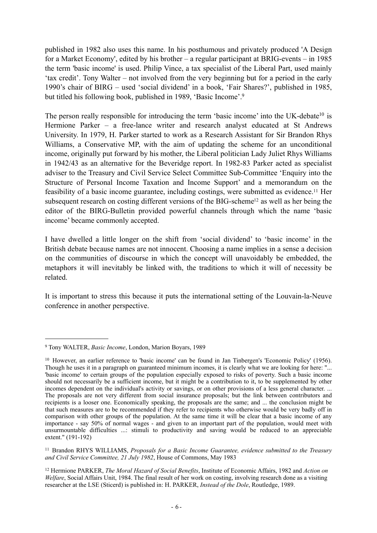published in 1982 also uses this name. In his posthumous and privately produced 'A Design for a Market Economy', edited by his brother – a regular participant at BRIG-events – in 1985 the term 'basic income' is used. Philip Vince, a tax specialist of the Liberal Part, used mainly 'tax credit'. Tony Walter – not involved from the very beginning but for a period in the early 1990's chair of BIRG – used 'social dividend' in a book, 'Fair Shares?', published in 1985, but titled his following book, published in 1989, 'Basic Income'.[9](#page-5-0)

The person really responsible for introducing the term 'basic income' into the UK-debate<sup>10</sup> is Hermione Parker – a free-lance writer and research analyst educated at St Andrews University. In 1979, H. Parker started to work as a Research Assistant for Sir Brandon Rhys Williams, a Conservative MP, with the aim of updating the scheme for an unconditional income, originally put forward by his mother, the Liberal politician Lady Juliet Rhys Williams in 1942/43 as an alternative for the Beveridge report. In 1982-83 Parker acted as specialist adviser to the Treasury and Civil Service Select Committee Sub-Committee 'Enquiry into the Structure of Personal Income Taxation and Income Support' and a memorandum on the feasibility of a basic income guarantee, including costings, were submitted as evidence[.11](#page-5-2) Her subsequent research on costing different versions of the BIG-scheme<sup>[12](#page-5-3)</sup> as well as her being the editor of the BIRG-Bulletin provided powerful channels through which the name 'basic income' became commonly accepted.

I have dwelled a little longer on the shift from 'social dividend' to 'basic income' in the British debate because names are not innocent. Choosing a name implies in a sense a decision on the communities of discourse in which the concept will unavoidably be embedded, the metaphors it will inevitably be linked with, the traditions to which it will of necessity be related.

It is important to stress this because it puts the international setting of the Louvain-la-Neuve conference in another perspective.

<span id="page-5-0"></span><sup>9</sup> Tony WALTER, *Basic Income*, London, Marion Boyars, 1989

<span id="page-5-1"></span><sup>10</sup> However, an earlier reference to 'basic income' can be found in Jan Tinbergen's 'Economic Policy' (1956). Though he uses it in a paragraph on guaranteed minimum incomes, it is clearly what we are looking for here: "... 'basic income' to certain groups of the population especially exposed to risks of poverty. Such a basic income should not necessarily be a sufficient income, but it might be a contribution to it, to be supplemented by other incomes dependent on the individual's activity or savings, or on other provisions of a less general character. ... The proposals are not very different from social insurance proposals; but the link between contributors and recipients is a looser one. Economically speaking, the proposals are the same; and ... the conclusion might be that such measures are to be recommended if they refer to recipients who otherwise would be very badly off in comparison with other groups of the population. At the same time it will be clear that a basic income of any importance - say 50% of normal wages - and given to an important part of the population, would meet with unsurmountable difficulties ...: stimuli to productivity and saving would be reduced to an appreciable extent." (191-192)

<span id="page-5-2"></span><sup>11</sup> Brandon RHYS WILLIAMS, *Proposals for a Basic Income Guarantee, evidence submitted to the Treasury and Civil Service Committee, 21 July 1982*, House of Commons, May 1983

<span id="page-5-3"></span><sup>12</sup> Hermione PARKER, *The Moral Hazard of Social Benefits*, Institute of Economic Affairs, 1982 and *Action on Welfare*, Social Affairs Unit, 1984. The final result of her work on costing, involving research done as a visiting researcher at the LSE (Sticerd) is published in: H. PARKER, *Instead of the Dole*, Routledge, 1989.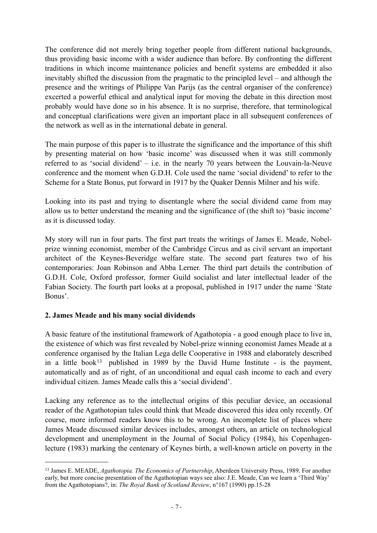The conference did not merely bring together people from different national backgrounds, thus providing basic income with a wider audience than before. By confronting the different traditions in which income maintenance policies and benefit systems are embedded it also inevitably shifted the discussion from the pragmatic to the principled level – and although the presence and the writings of Philippe Van Parijs (as the central organiser of the conference) excerted a powerful ethical and analytical input for moving the debate in this direction most probably would have done so in his absence. It is no surprise, therefore, that terminological and conceptual clarifications were given an important place in all subsequent conferences of the network as well as in the international debate in general.

The main purpose of this paper is to illustrate the significance and the importance of this shift by presenting material on how 'basic income' was discussed when it was still commonly referred to as 'social dividend' – i.e. in the nearly 70 years between the Louvain-la-Neuve conference and the moment when G.D.H. Cole used the name 'social dividend' to refer to the Scheme for a State Bonus, put forward in 1917 by the Quaker Dennis Milner and his wife.

Looking into its past and trying to disentangle where the social dividend came from may allow us to better understand the meaning and the significance of (the shift to) 'basic income' as it is discussed today.

My story will run in four parts. The first part treats the writings of James E. Meade, Nobelprize winning economist, member of the Cambridge Circus and as civil servant an important architect of the Keynes-Beveridge welfare state. The second part features two of his contemporaries: Joan Robinson and Abba Lerner. The third part details the contribution of G.D.H. Cole, Oxford professor, former Guild socialist and later intellectual leader of the Fabian Society. The fourth part looks at a proposal, published in 1917 under the name 'State Bonus'.

# **2. James Meade and his many social dividends**

A basic feature of the institutional framework of Agathotopia - a good enough place to live in, the existence of which was first revealed by Nobel-prize winning economist James Meade at a conference organised by the Italian Lega delle Cooperative in 1988 and elaborately described in a little book<sup>[13](#page-6-0)</sup> published in 1989 by the David Hume Institute - is the payment, automatically and as of right, of an unconditional and equal cash income to each and every individual citizen. James Meade calls this a 'social dividend'.

Lacking any reference as to the intellectual origins of this peculiar device, an occasional reader of the Agathotopian tales could think that Meade discovered this idea only recently. Of course, more informed readers know this to be wrong. An incomplete list of places where James Meade discussed similar devices includes, amongst others, an article on technological development and unemployment in the Journal of Social Policy (1984), his Copenhagenlecture (1983) marking the centenary of Keynes birth, a well-known article on poverty in the

<span id="page-6-0"></span><sup>13</sup> James E. MEADE, *Agathotopia. The Economics of Partnership*, Aberdeen University Press, 1989. For another early, but more concise presentation of the Agathotopian ways see also: J.E. Meade, Can we learn a 'Third Way' from the Agathotopians?, in: *The Royal Bank of Scotland Review*, n°167 (1990) pp.15-28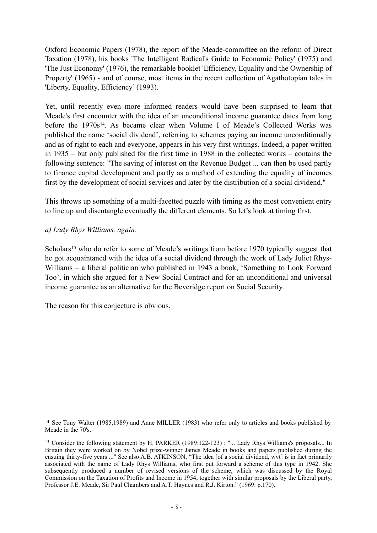Oxford Economic Papers (1978), the report of the Meade-committee on the reform of Direct Taxation (1978), his books 'The Intelligent Radical's Guide to Economic Policy' (1975) and 'The Just Economy' (1976), the remarkable booklet 'Efficiency, Equality and the Ownership of Property' (1965) - and of course, most items in the recent collection of Agathotopian tales in 'Liberty, Equality, Efficiency' (1993).

Yet, until recently even more informed readers would have been surprised to learn that Meade's first encounter with the idea of an unconditional income guarantee dates from long before the 1970s<sup>14</sup>. As became clear when Volume I of Meade's Collected Works was published the name 'social dividend', referring to schemes paying an income unconditionally and as of right to each and everyone, appears in his very first writings. Indeed, a paper written in 1935 – but only published for the first time in 1988 in the collected works – contains the following sentence: "The saving of interest on the Revenue Budget ... can then be used partly to finance capital development and partly as a method of extending the equality of incomes first by the development of social services and later by the distribution of a social dividend."

This throws up something of a multi-facetted puzzle with timing as the most convenient entry to line up and disentangle eventually the different elements. So let's look at timing first.

## *a) Lady Rhys Williams, again.*

Scholars<sup>[15](#page-7-1)</sup> who do refer to some of Meade's writings from before 1970 typically suggest that he got acquaintaned with the idea of a social dividend through the work of Lady Juliet Rhys-Williams – a liberal politician who published in 1943 a book, 'Something to Look Forward Too', in which she argued for a New Social Contract and for an unconditional and universal income guarantee as an alternative for the Beveridge report on Social Security.

The reason for this conjecture is obvious.

<span id="page-7-0"></span><sup>14</sup> See Tony Walter (1985,1989) and Anne MILLER (1983) who refer only to articles and books published by Meade in the 70's.

<span id="page-7-1"></span><sup>&</sup>lt;sup>15</sup> Consider the following statement by H. PARKER (1989:122-123) : "... Lady Rhys Williams's proposals... In Britain they were worked on by Nobel prize-winner James Meade in books and papers published during the ensuing thirty-five years ..." See also A.B. ATKINSON, "The idea [of a social dividend, wvt] is in fact primarily associated with the name of Lady Rhys Williams, who first put forward a scheme of this type in 1942. She subsequently produced a number of revised versions of the scheme, which was discussed by the Royal Commission on the Taxation of Profits and Income in 1954, together with similar proposals by the Liberal party, Professor J.E. Meade, Sir Paul Chambers and A.T. Haynes and R.J. Kirton." (1969: p.170).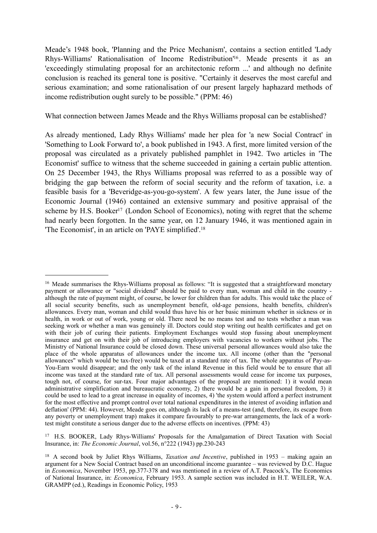Meade's 1948 book, 'Planning and the Price Mechanism', contains a section entitled 'Lady Rhys-Williams' Rationalisation of Income Redistribution['16](#page-8-0) . Meade presents it as an 'exceedingly stimulating proposal for an architectonic reform ...' and although no definite conclusion is reached its general tone is positive. "Certainly it deserves the most careful and serious examination; and some rationalisation of our present largely haphazard methods of income redistribution ought surely to be possible." (PPM: 46)

What connection between James Meade and the Rhys Williams proposal can be established?

As already mentioned, Lady Rhys Williams' made her plea for 'a new Social Contract' in 'Something to Look Forward to', a book published in 1943. A first, more limited version of the proposal was circulated as a privately published pamphlet in 1942. Two articles in 'The Economist' suffice to witness that the scheme succeeded in gaining a certain public attention. On 25 December 1943, the Rhys Williams proposal was referred to as a possible way of bridging the gap between the reform of social security and the reform of taxation, i.e. a feasible basis for a 'Beveridge-as-you-go-system'. A few years later, the June issue of the Economic Journal (1946) contained an extensive summary and positive appraisal of the scheme by H.S. Booker<sup>17</sup> (London School of Economics), noting with regret that the scheme had nearly been forgotten. In the same year, on 12 January 1946, it was mentioned again in 'The Economist', in an article on 'PAYE simplified'.[18](#page-8-2)

<span id="page-8-1"></span>17 H.S. BOOKER, Lady Rhys-Williams' Proposals for the Amalgamation of Direct Taxation with Social Insurance, in: *The Economic Journal*, vol.56, n°222 (1943) pp.230-243

<span id="page-8-0"></span><sup>&</sup>lt;sup>16</sup> Meade summarises the Rhys-Williams proposal as follows: "It is suggested that a straightforward monetary payment or allowance or "social dividend" should be paid to every man, woman and child in the country although the rate of payment might, of course, be lower for children than for adults. This would take the place of all social security benefits, such as unemployment benefit, old-age pensions, health benefits, children's allowances. Every man, woman and child would thus have his or her basic minimum whether in sickness or in health, in work or out of work, young or old. There need be no means test and no tests whether a man was health, in work or out of work, young or old. There need be no means test and no tests whether a man was seeking work or whether a man was genuinely ill. Doctors could stop writing out health certificates and get on with their job of curing their patients. Employment Exchanges would stop fussing about unemployment insurance and get on with their job of introducing employers with vacancies to workers without jobs. The Ministry of National Insurance could be closed down. These universal personal allowances would also take the place of the whole apparatus of allowances under the income tax. All income (other than the "personal allowances" which would be tax-free) would be taxed at a standard rate of tax. The whole apparatus of Pay-as-You-Earn would disappear; and the only task of the inland Revenue in this field would be to ensure that all income was taxed at the standard rate of tax. All personal assessments would cease for income tax purposes, tough not, of course, for sur-tax. Four major advantages of the proposal are mentioned: 1) it would mean administrative simplification and bureaucratic economy, 2) there would be a gain in personal freedom, 3) it could be used to lead to a great increase in equality of incomes, 4) 'the system would afford a perfect instrument for the most effective and prompt control over total national expenditures in the interest of avoiding inflation and deflation' (PPM: 44). However, Meade goes on, although its lack of a means-test (and, therefore, its escape from any poverty or unemployment trap) makes it compare favourably to pre-war arrangements, the lack of a worktest might constitute a serious danger due to the adverse effects on incentives. (PPM: 43)

<span id="page-8-2"></span><sup>18</sup> A second book by Juliet Rhys Williams, *Taxation and Incentive*, published in 1953 – making again an argument for a New Social Contract based on an unconditional income guarantee – was reviewed by D.C. Hague in *Economica*, November 1953, pp.377-378 and was mentioned in a review of A.T. Peacock's, The Economics of National Insurance, in: *Economica*, February 1953. A sample section was included in H.T. WEILER, W.A. GRAMPP (ed.), Readings in Economic Policy, 1953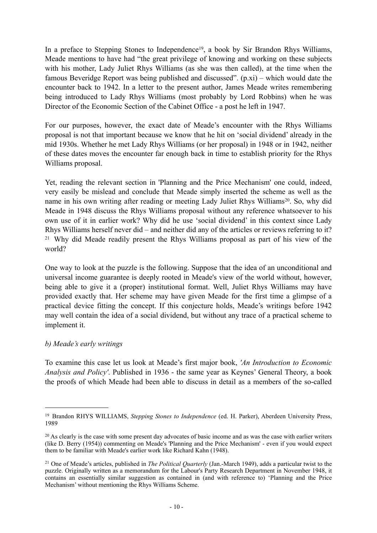In a preface to Stepping Stones to Independence<sup>19</sup>, a book by Sir Brandon Rhys Williams Meade mentions to have had "the great privilege of knowing and working on these subjects with his mother, Lady Juliet Rhys Williams (as she was then called), at the time when the famous Beveridge Report was being published and discussed". (p.xi) – which would date the encounter back to 1942. In a letter to the present author, James Meade writes remembering being introduced to Lady Rhys Williams (most probably by Lord Robbins) when he was Director of the Economic Section of the Cabinet Office - a post he left in 1947.

For our purposes, however, the exact date of Meade's encounter with the Rhys Williams proposal is not that important because we know that he hit on 'social dividend' already in the mid 1930s. Whether he met Lady Rhys Williams (or her proposal) in 1948 or in 1942, neither of these dates moves the encounter far enough back in time to establish priority for the Rhys Williams proposal.

Yet, reading the relevant section in 'Planning and the Price Mechanism' one could, indeed, very easily be mislead and conclude that Meade simply inserted the scheme as well as the name in his own writing after reading or meeting Lady Juliet Rhys Williams<sup>[20](#page-9-1)</sup>. So, why did Meade in 1948 discuss the Rhys Williams proposal without any reference whatsoever to his own use of it in earlier work? Why did he use 'social dividend' in this context since Lady Rhys Williams herself never did – and neither did any of the articles or reviews referring to it? [21](#page-9-2) Why did Meade readily present the Rhys Williams proposal as part of his view of the world?

One way to look at the puzzle is the following. Suppose that the idea of an unconditional and universal income guarantee is deeply rooted in Meade's view of the world without, however, being able to give it a (proper) institutional format. Well, Juliet Rhys Williams may have provided exactly that. Her scheme may have given Meade for the first time a glimpse of a practical device fitting the concept. If this conjecture holds, Meade's writings before 1942 may well contain the idea of a social dividend, but without any trace of a practical scheme to implement it.

#### *b) Meade's early writings*

To examine this case let us look at Meade's first major book, *'An Introduction to Economic Analysis and Policy'*. Published in 1936 - the same year as Keynes' General Theory, a book the proofs of which Meade had been able to discuss in detail as a members of the so-called

<span id="page-9-0"></span><sup>19</sup> Brandon RHYS WILLIAMS, *Stepping Stones to Independence* (ed. H. Parker), Aberdeen University Press, 1989

<span id="page-9-1"></span><sup>&</sup>lt;sup>20</sup> As clearly is the case with some present day advocates of basic income and as was the case with earlier writers (like D. Berry (1954)) commenting on Meade's 'Planning and the Price Mechanism' - even if you would expect them to be familiar with Meade's earlier work like Richard Kahn (1948).

<span id="page-9-2"></span><sup>21</sup> One of Meade's articles, published in *The Political Quarterly* (Jan.-March 1949), adds a particular twist to the puzzle. Originally written as a memorandum for the Labour's Party Research Department in November 1948, it contains an essentially similar suggestion as contained in (and with reference to) 'Planning and the Price Mechanism' without mentioning the Rhys Williams Scheme.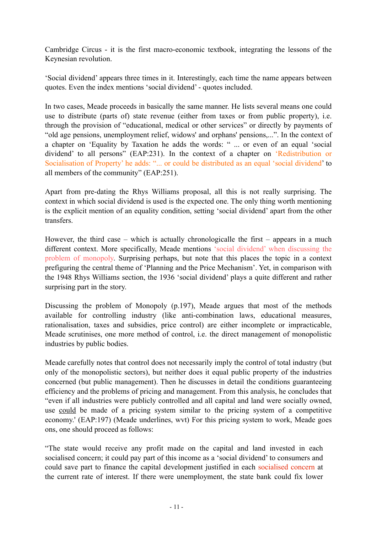Cambridge Circus - it is the first macro-economic textbook, integrating the lessons of the Keynesian revolution.

'Social dividend' appears three times in it. Interestingly, each time the name appears between quotes. Even the index mentions 'social dividend' - quotes included.

In two cases, Meade proceeds in basically the same manner. He lists several means one could use to distribute (parts of) state revenue (either from taxes or from public property), i.e. through the provision of "educational, medical or other services" or directly by payments of "old age pensions, unemployment relief, widows' and orphans' pensions,...". In the context of a chapter on 'Equality by Taxation he adds the words: " ... or even of an equal 'social dividend' to all persons" (EAP:231). In the context of a chapter on 'Redistribution or Socialisation of Property' he adds: "... or could be distributed as an equal 'social dividend' to all members of the community" (EAP:251).

Apart from pre-dating the Rhys Williams proposal, all this is not really surprising. The context in which social dividend is used is the expected one. The only thing worth mentioning is the explicit mention of an equality condition, setting 'social dividend' apart from the other transfers.

However, the third case – which is actually chronologicalle the first – appears in a much different context. More specifically, Meade mentions 'social dividend' when discussing the problem of monopoly. Surprising perhaps, but note that this places the topic in a context prefiguring the central theme of 'Planning and the Price Mechanism'. Yet, in comparison with the 1948 Rhys Williams section, the 1936 'social dividend' plays a quite different and rather surprising part in the story.

Discussing the problem of Monopoly (p.197), Meade argues that most of the methods available for controlling industry (like anti-combination laws, educational measures, rationalisation, taxes and subsidies, price control) are either incomplete or impracticable, Meade scrutinises, one more method of control, i.e. the direct management of monopolistic industries by public bodies.

Meade carefully notes that control does not necessarily imply the control of total industry (but only of the monopolistic sectors), but neither does it equal public property of the industries concerned (but public management). Then he discusses in detail the conditions guaranteeing efficiency and the problems of pricing and management. From this analysis, he concludes that "even if all industries were publicly controlled and all capital and land were socially owned, use could be made of a pricing system similar to the pricing system of a competitive economy.' (EAP:197) (Meade underlines, wvt) For this pricing system to work, Meade goes ons, one should proceed as follows:

"The state would receive any profit made on the capital and land invested in each socialised concern; it could pay part of this income as a 'social dividend' to consumers and could save part to finance the capital development justified in each socialised concern at the current rate of interest. If there were unemployment, the state bank could fix lower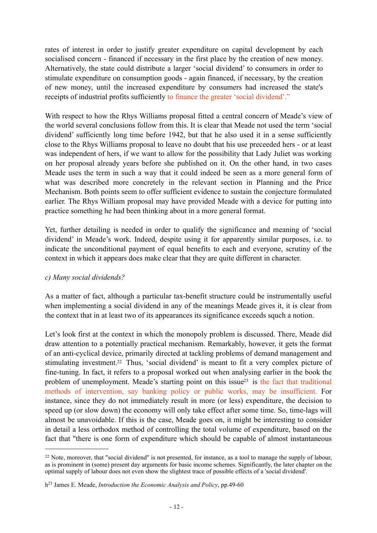rates of interest in order to justify greater expenditure on capital development by each socialised concern - financed if necessary in the first place by the creation of new money. Alternatively, the state could distribute a larger 'social dividend' to consumers in order to stimulate expenditure on consumption goods - again financed, if necessary, by the creation of new money, until the increased expenditure by consumers had increased the state's receipts of industrial profits sufficiently to finance the greater 'social dividend'."

With respect to how the Rhys Williams proposal fitted a central concern of Meade's view of the world several conclusions follow from this. It is clear that Meade not used the term 'social dividend' sufficiently long time before 1942, but that he also used it in a sense sufficiently close to the Rhys Williams proposal to leave no doubt that his use preceeded hers - or at least was independent of hers, if we want to allow for the possibility that Lady Juliet was working on her proposal already years before she published on it. On the other hand, in two cases Meade uses the term in such a way that it could indeed be seen as a more general form of what was described more concretely in the relevant section in Planning and the Price Mechanism. Both points seem to offer sufficient evidence to sustain the conjecture formulated earlier. The Rhys William proposal may have provided Meade with a device for putting into practice something he had been thinking about in a more general format.

Yet, further detailing is needed in order to qualify the significance and meaning of 'social dividend' in Meade's work. Indeed, despite using it for apparently similar purposes, i.e. to indicate the unconditional payment of equal benefits to each and everyone, scrutiny of the context in which it appears does make clear that they are quite different in character.

#### *c) Many social dividends?*

As a matter of fact, although a particular tax-benefit structure could be instrumentally useful when implementing a social dividend in any of the meanings Meade gives it, it is clear from the context that in at least two of its appearances its significance exceeds squch a notion.

Let's look first at the context in which the monopoly problem is discussed. There, Meade did draw attention to a potentially practical mechanism. Remarkably, however, it gets the format of an anti-cyclical device, primarily directed at tackling problems of demand management and stimulating investment[.22](#page-11-0) Thus, 'social dividend' is meant to fit a very complex picture of fine-tuning. In fact, it refers to a proposal worked out when analysing earlier in the book the problem of unemployment. Meade's starting point on this issue $^{23}$  is the fact that traditional methods of intervention, say banking policy or public works, may be insufficient. For instance, since they do not immediately result in more (or less) expenditure, the decision to speed up (or slow down) the economy will only take effect after some time. So, time-lags will almost be unavoidable. If this is the case, Meade goes on, it might be interesting to consider in detail a less orthodox method of controlling the total volume of expenditure, based on the fact that "there is one form of expenditure which should be capable of almost instantaneous

<span id="page-11-0"></span> $22$  Note, moreover, that "social dividend" is not presented, for instance, as a tool to manage the supply of labour, as is prominent in (some) present day arguments for basic income schemes. Significantly, the later chapter on the optimal supply of labour does not even show the slightest trace of possible effects of a 'social dividend'.

<span id="page-11-1"></span>h23 James E. Meade, *Introduction the Economic Analysis and Policy*, pp.49-60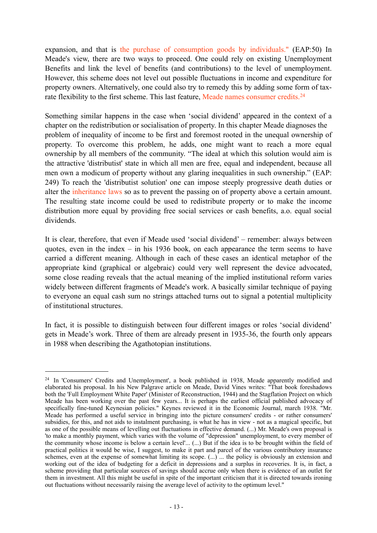expansion, and that is the purchase of consumption goods by individuals." (EAP:50) In Meade's view, there are two ways to proceed. One could rely on existing Unemployment Benefits and link the level of benefits (and contributions) to the level of unemployment. However, this scheme does not level out possible fluctuations in income and expenditure for property owners. Alternatively, one could also try to remedy this by adding some form of taxrate flexibility to the first scheme. This last feature, Meade names consumer credits.<sup>24</sup>

Something similar happens in the case when 'social dividend' appeared in the context of a chapter on the redistribution or socialisation of property. In this chapter Meade diagnoses the problem of inequality of income to be first and foremost rooted in the unequal ownership of property. To overcome this problem, he adds, one might want to reach a more equal ownership by all members of the community. "The ideal at which this solution would aim is the attractive 'distributist' state in which all men are free, equal and independent, because all men own a modicum of property without any glaring inequalities in such ownership." (EAP: 249) To reach the 'distributist solution' one can impose steeply progressive death duties or alter the inheritance laws so as to prevent the passing on of property above a certain amount. The resulting state income could be used to redistribute property or to make the income distribution more equal by providing free social services or cash benefits, a.o. equal social dividends.

It is clear, therefore, that even if Meade used 'social dividend' – remember: always between quotes, even in the index – in his 1936 book, on each appearance the term seems to have carried a different meaning. Although in each of these cases an identical metaphor of the appropriate kind (graphical or algebraic) could very well represent the device advocated, some close reading reveals that the actual meaning of the implied institutional reform varies widely between different fragments of Meade's work. A basically similar technique of paying to everyone an equal cash sum no strings attached turns out to signal a potential multiplicity of institutional structures.

In fact, it is possible to distinguish between four different images or roles 'social dividend' gets in Meade's work. Three of them are already present in 1935-36, the fourth only appears in 1988 when describing the Agathotopian institutions.

<span id="page-12-0"></span><sup>24</sup> In 'Consumers' Credits and Unemployment', a book published in 1938, Meade apparently modified and elaborated his proposal. In his New Palgrave article on Meade, David Vines writes: "That book foreshadows both the 'Full Employment White Paper' (Minister of Reconstruction, 1944) and the Stagflation Project on which Meade has been working over the past few years... It is perhaps the earliest official published advocacy of specifically fine-tuned Keynesian policies." Keynes reviewed it in the Economic Journal, march 1938. "Mr. Meade has performed a useful service in bringing into the picture consumers' credits - or rather consumers' subsidies, for this, and not aids to instalment purchasing, is what he has in view - not as a magical specific, but as one of the possible means of levelling out fluctuations in effective demand. (...) Mr. Meade's own proposal is 'to make a monthly payment, which varies with the volume of "depression" unemployment, to every member of the community whose income is below a certain level'... (...) But if the idea is to be brought within the field of practical politics it would be wise, I suggest, to make it part and parcel of the various contributory insurance schemes, even at the expense of somewhat limiting its scope. (...) ... the policy is obviously an extension and working out of the idea of budgeting for a deficit in depressions and a surplus in recoveries. It is, in fact, a scheme providing that particular sources of savings should accrue only when there is evidence of an outlet for them in investment. All this might be useful in spite of the important criticism that it is directed towards ironing out fluctuations without necessarily raising the average level of activity to the optimum level."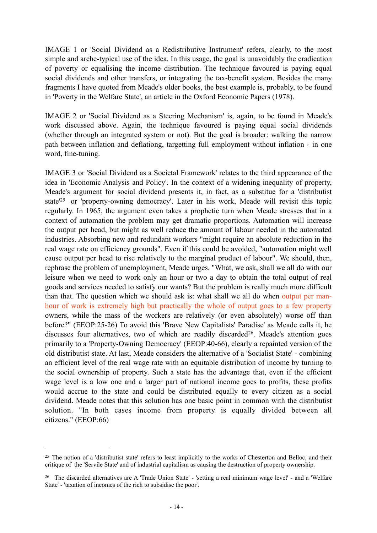IMAGE 1 or 'Social Dividend as a Redistributive Instrument' refers, clearly, to the most simple and arche-typical use of the idea. In this usage, the goal is unavoidably the eradication of poverty or equalising the income distribution. The technique favoured is paying equal social dividends and other transfers, or integrating the tax-benefit system. Besides the many fragments I have quoted from Meade's older books, the best example is, probably, to be found in 'Poverty in the Welfare State', an article in the Oxford Economic Papers (1978).

IMAGE 2 or 'Social Dividend as a Steering Mechanism' is, again, to be found in Meade's work discussed above. Again, the technique favoured is paying equal social dividends (whether through an integrated system or not). But the goal is broader: walking the narrow path between inflation and deflationg, targetting full employment without inflation - in one word, fine-tuning.

IMAGE 3 or 'Social Dividend as a Societal Framework' relates to the third appearance of the idea in 'Economic Analysis and Policy'. In the context of a widening inequality of property, Meade's argument for social dividend presents it, in fact, as a substitue for a 'distributist state'[25](#page-13-0) or 'property-owning democracy'. Later in his work, Meade will revisit this topic regularly. In 1965, the argument even takes a prophetic turn when Meade stresses that in a context of automation the problem may get dramatic proportions. Automation will increase the output per head, but might as well reduce the amount of labour needed in the automated industries. Absorbing new and redundant workers "might require an absolute reduction in the real wage rate on efficiency grounds". Even if this could be avoided, "automation might well cause output per head to rise relatively to the marginal product of labour". We should, then, rephrase the problem of unemployment, Meade urges. "What, we ask, shall we all do with our leisure when we need to work only an hour or two a day to obtain the total output of real goods and services needed to satisfy our wants? But the problem is really much more difficult than that. The question which we should ask is: what shall we all do when output per manhour of work is extremely high but practically the whole of output goes to a few property owners, while the mass of the workers are relatively (or even absolutely) worse off than before?" (EEOP:25-26) To avoid this 'Brave New Capitalists' Paradise' as Meade calls it, he discusses four alternatives, two of which are readily discarded<sup>26</sup>. Meade's attention goes primarily to a 'Property-Owning Democracy' (EEOP:40-66), clearly a repainted version of the old distributist state. At last, Meade considers the alternative of a 'Socialist State' - combining an efficient level of the real wage rate with an equitable distribution of income by turning to the social ownership of property. Such a state has the advantage that, even if the efficient wage level is a low one and a larger part of national income goes to profits, these profits would accrue to the state and could be distributed equally to every citizen as a social dividend. Meade notes that this solution has one basic point in common with the distributist solution. "In both cases income from property is equally divided between all citizens." (EEOP:66)

<span id="page-13-0"></span><sup>&</sup>lt;sup>25</sup> The notion of a 'distributist state' refers to least implicitly to the works of Chesterton and Belloc, and their critique of the 'Servile State' and of industrial capitalism as causing the destruction of property ownership.

<span id="page-13-1"></span><sup>26</sup> The discarded alternatives are A 'Trade Union State' - 'setting a real minimum wage level' - and a 'Welfare State' - 'taxation of incomes of the rich to subsidise the poor'.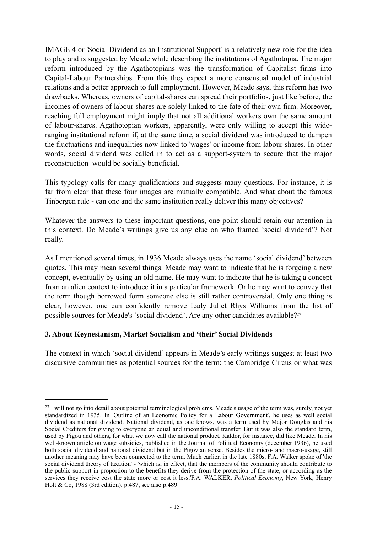IMAGE 4 or 'Social Dividend as an Institutional Support' is a relatively new role for the idea to play and is suggested by Meade while describing the institutions of Agathotopia. The major reform introduced by the Agathotopians was the transformation of Capitalist firms into Capital-Labour Partnerships. From this they expect a more consensual model of industrial relations and a better approach to full employment. However, Meade says, this reform has two drawbacks. Whereas, owners of capital-shares can spread their portfolios, just like before, the incomes of owners of labour-shares are solely linked to the fate of their own firm. Moreover, reaching full employment might imply that not all additional workers own the same amount of labour-shares. Agathotopian workers, apparently, were only willing to accept this wideranging institutional reform if, at the same time, a social dividend was introduced to dampen the fluctuations and inequalities now linked to 'wages' or income from labour shares. In other words, social dividend was called in to act as a support-system to secure that the major reconstruction would be socially beneficial.

This typology calls for many qualifications and suggests many questions. For instance, it is far from clear that these four images are mutually compatible. And what about the famous Tinbergen rule - can one and the same institution really deliver this many objectives?

Whatever the answers to these important questions, one point should retain our attention in this context. Do Meade's writings give us any clue on who framed 'social dividend'? Not really.

As I mentioned several times, in 1936 Meade always uses the name 'social dividend' between quotes. This may mean several things. Meade may want to indicate that he is forgeing a new concept, eventually by using an old name. He may want to indicate that he is taking a concept from an alien context to introduce it in a particular framework. Or he may want to convey that the term though borrowed form someone else is still rather controversial. Only one thing is clear, however, one can confidently remove Lady Juliet Rhys Williams from the list of possible sources for Meade's 'social dividend'. Are any other candidates available?<sup>27</sup>

## **3. About Keynesianism, Market Socialism and 'their' Social Dividends**

The context in which 'social dividend' appears in Meade's early writings suggest at least two discursive communities as potential sources for the term: the Cambridge Circus or what was

<span id="page-14-0"></span><sup>27</sup> I will not go into detail about potential terminological problems. Meade's usage of the term was, surely, not yet standardized in 1935. In 'Outline of an Economic Policy for a Labour Government', he uses as well social dividend as national dividend. National dividend, as one knows, was a term used by Major Douglas and his Social Crediters for giving to everyone an equal and unconditional transfer. But it was also the standard term, used by Pigou and others, for what we now call the national product. Kaldor, for instance, did like Meade. In his well-known article on wage subsidies, published in the Journal of Political Economy (december 1936), he used both social dividend and national dividend but in the Pigovian sense. Besides the micro- and macro-usage, still another meaning may have been connected to the term. Much earlier, in the late 1880s, F.A. Walker spoke of 'the social dividend theory of taxation' - 'which is, in effect, that the members of the community should contribute to the public support in proportion to the benefits they derive from the protection of the state, or according as the services they receive cost the state more or cost it less.'F.A. WALKER, *Political Economy*, New York, Henry Holt & Co, 1988 (3rd edition), p.487, see also p.489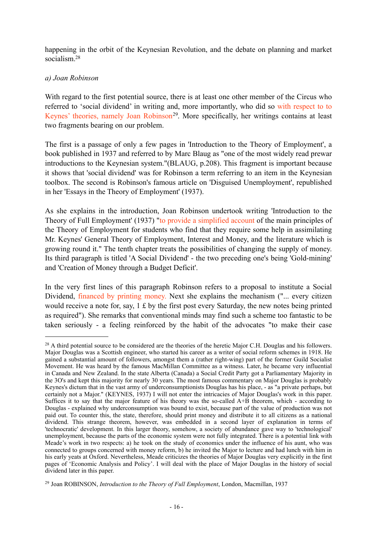happening in the orbit of the Keynesian Revolution, and the debate on planning and market socialism<sup>[28](#page-15-0)</sup>

## *a) Joan Robinson*

With regard to the first potential source, there is at least one other member of the Circus who referred to 'social dividend' in writing and, more importantly, who did so with respect to to Keynes' theories, namely Joan Robinson<sup>[29](#page-15-1)</sup>. More specifically, her writings contains at least two fragments bearing on our problem.

The first is a passage of only a few pages in 'Introduction to the Theory of Employment', a book published in 1937 and referred to by Marc Blaug as "one of the most widely read prewar introductions to the Keynesian system."(BLAUG, p.208). This fragment is important because it shows that 'social dividend' was for Robinson a term referring to an item in the Keynesian toolbox. The second is Robinson's famous article on 'Disguised Unemployment', republished in her 'Essays in the Theory of Employment' (1937).

As she explains in the introduction, Joan Robinson undertook writing 'Introduction to the Theory of Full Employment' (1937) "to provide a simplified account of the main principles of the Theory of Employment for students who find that they require some help in assimilating Mr. Keynes' General Theory of Employment, Interest and Money, and the literature which is growing round it." The tenth chapter treats the possibilities of changing the supply of money. Its third paragraph is titled 'A Social Dividend' - the two preceding one's being 'Gold-mining' and 'Creation of Money through a Budget Deficit'.

In the very first lines of this paragraph Robinson refers to a proposal to institute a Social Dividend, financed by printing money. Next she explains the mechanism ("... every citizen would receive a note for, say,  $1 \text{ } \pounds$  by the first post every Saturday, the new notes being printed as required"). She remarks that conventional minds may find such a scheme too fantastic to be taken seriously - a feeling reinforced by the habit of the advocates "to make their case

<span id="page-15-0"></span><sup>28</sup> A third potential source to be considered are the theories of the heretic Major C.H. Douglas and his followers. Major Douglas was a Scottish engineer, who started his career as a writer of social reform schemes in 1918. He gained a substantial amount of followers, amongst them a (rather right-wing) part of the former Guild Socialist Movement. He was heard by the famous MacMillan Committee as a witness. Later, he became very influential in Canada and New Zealand. In the state Alberta (Canada) a Social Credit Party got a Parliamentary Majority in the 3O's and kept this majority for nearly 30 years. The most famous commentary on Major Douglas is probably Keynes's dictum that in the vast army of underconsumptionists Douglas has his place, - as "a private perhaps, but certainly not a Major." (KEYNES, 1937) I will not enter the intricacies of Major Douglas's work in this paper. Suffices it to say that the major feature of his theory was the so-called A+B theorem, which - according to Douglas - explained why underconsumption was bound to exist, because part of the value of production was not paid out. To counter this, the state, therefore, should print money and distribute it to all citizens as a national dividend. This strange theorem, however, was embedded in a second layer of explanation in terms of 'technocratic' development. In this larger theory, somehow, a society of abundance gave way to 'technological' unemployment, because the parts of the economic system were not fully integrated. There is a potential link with Meade's work in two respects: a) he took on the study of economics under the influence of his aunt, who was connected to groups concerned with money reform, b) he invited the Major to lecture and had lunch with him in his early yeats at Oxford. Nevertheless, Meade criticizes the theories of Major Douglas very explicitly in the first pages of 'Economic Analysis and Policy'. I will deal with the place of Major Douglas in the history of social dividend later in this paper.

<span id="page-15-1"></span><sup>29</sup> Joan ROBINSON, *Introduction to the Theory of Full Employment*, London, Macmillan, 1937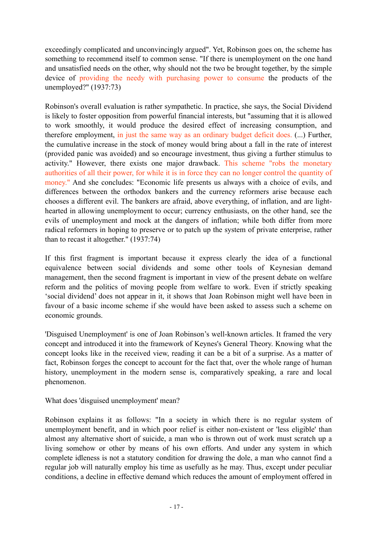exceedingly complicated and unconvincingly argued". Yet, Robinson goes on, the scheme has something to recommend itself to common sense. "If there is unemployment on the one hand and unsatisfied needs on the other, why should not the two be brought together, by the simple device of providing the needy with purchasing power to consume the products of the unemployed?" (1937:73)

Robinson's overall evaluation is rather sympathetic. In practice, she says, the Social Dividend is likely to foster opposition from powerful financial interests, but "assuming that it is allowed to work smoothly, it would produce the desired effect of increasing consumption, and therefore employment, in just the same way as an ordinary budget deficit does. (...) Further, the cumulative increase in the stock of money would bring about a fall in the rate of interest (provided panic was avoided) and so encourage investment, thus giving a further stimulus to activity." However, there exists one major drawback. This scheme "robs the monetary authorities of all their power, for while it is in force they can no longer control the quantity of money." And she concludes: "Economic life presents us always with a choice of evils, and differences between the orthodox bankers and the currency reformers arise because each chooses a different evil. The bankers are afraid, above everything, of inflation, and are lighthearted in allowing unemployment to occur; currency enthusiasts, on the other hand, see the evils of unemployment and mock at the dangers of inflation; while both differ from more radical reformers in hoping to preserve or to patch up the system of private enterprise, rather than to recast it altogether." (1937:74)

If this first fragment is important because it express clearly the idea of a functional equivalence between social dividends and some other tools of Keynesian demand management, then the second fragment is important in view of the present debate on welfare reform and the politics of moving people from welfare to work. Even if strictly speaking 'social dividend' does not appear in it, it shows that Joan Robinson might well have been in favour of a basic income scheme if she would have been asked to assess such a scheme on economic grounds.

'Disguised Unemployment' is one of Joan Robinson's well-known articles. It framed the very concept and introduced it into the framework of Keynes's General Theory. Knowing what the concept looks like in the received view, reading it can be a bit of a surprise. As a matter of fact. Robinson forges the concept to account for the fact that, over the whole range of human history, unemployment in the modern sense is, comparatively speaking, a rare and local phenomenon.

What does 'disguised unemployment' mean?

Robinson explains it as follows: "In a society in which there is no regular system of unemployment benefit, and in which poor relief is either non-existent or 'less eligible' than almost any alternative short of suicide, a man who is thrown out of work must scratch up a living somehow or other by means of his own efforts. And under any system in which complete idleness is not a statutory condition for drawing the dole, a man who cannot find a regular job will naturally employ his time as usefully as he may. Thus, except under peculiar conditions, a decline in effective demand which reduces the amount of employment offered in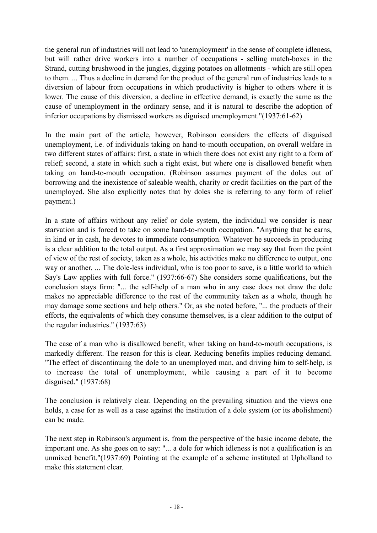the general run of industries will not lead to 'unemployment' in the sense of complete idleness, but will rather drive workers into a number of occupations - selling match-boxes in the Strand, cutting brushwood in the jungles, digging potatoes on allotments - which are still open to them. ... Thus a decline in demand for the product of the general run of industries leads to a diversion of labour from occupations in which productivity is higher to others where it is lower. The cause of this diversion, a decline in effective demand, is exactly the same as the cause of unemployment in the ordinary sense, and it is natural to describe the adoption of inferior occupations by dismissed workers as diguised unemployment."(1937:61-62)

In the main part of the article, however, Robinson considers the effects of disguised unemployment, i.e. of individuals taking on hand-to-mouth occupation, on overall welfare in two different states of affairs: first, a state in which there does not exist any right to a form of relief; second, a state in which such a right exist, but where one is disallowed benefit when taking on hand-to-mouth occupation. (Robinson assumes payment of the doles out of borrowing and the inexistence of saleable wealth, charity or credit facilities on the part of the unemployed. She also explicitly notes that by doles she is referring to any form of relief payment.)

In a state of affairs without any relief or dole system, the individual we consider is near starvation and is forced to take on some hand-to-mouth occupation. "Anything that he earns, in kind or in cash, he devotes to immediate consumption. Whatever he succeeds in producing is a clear addition to the total output. As a first approximation we may say that from the point of view of the rest of society, taken as a whole, his activities make no difference to output, one way or another. ... The dole-less individual, who is too poor to save, is a little world to which Say's Law applies with full force." (1937:66-67) She considers some qualifications, but the conclusion stays firm: "... the self-help of a man who in any case does not draw the dole makes no appreciable difference to the rest of the community taken as a whole, though he may damage some sections and help others." Or, as she noted before, "... the products of their efforts, the equivalents of which they consume themselves, is a clear addition to the output of the regular industries." (1937:63)

The case of a man who is disallowed benefit, when taking on hand-to-mouth occupations, is markedly different. The reason for this is clear. Reducing benefits implies reducing demand. "The effect of discontinuing the dole to an unemployed man, and driving him to self-help, is to increase the total of unemployment, while causing a part of it to become disguised." (1937:68)

The conclusion is relatively clear. Depending on the prevailing situation and the views one holds, a case for as well as a case against the institution of a dole system (or its abolishment) can be made.

The next step in Robinson's argument is, from the perspective of the basic income debate, the important one. As she goes on to say: "... a dole for which idleness is not a qualification is an unmixed benefit."(1937:69) Pointing at the example of a scheme instituted at Upholland to make this statement clear.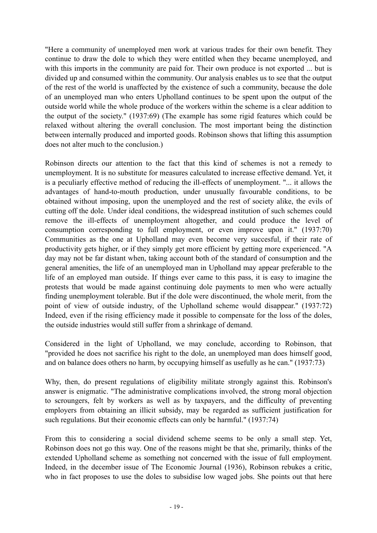"Here a community of unemployed men work at various trades for their own benefit. They continue to draw the dole to which they were entitled when they became unemployed, and with this imports in the community are paid for. Their own produce is not exported ... but is divided up and consumed within the community. Our analysis enables us to see that the output of the rest of the world is unaffected by the existence of such a community, because the dole of an unemployed man who enters Upholland continues to be spent upon the output of the outside world while the whole produce of the workers within the scheme is a clear addition to the output of the society." (1937:69) (The example has some rigid features which could be relaxed without altering the overall conclusion. The most important being the distinction between internally produced and imported goods. Robinson shows that lifting this assumption does not alter much to the conclusion.)

Robinson directs our attention to the fact that this kind of schemes is not a remedy to unemployment. It is no substitute for measures calculated to increase effective demand. Yet, it is a peculiarly effective method of reducing the ill-effects of unemployment. "... it allows the advantages of hand-to-mouth production, under unusually favourable conditions, to be obtained without imposing, upon the unemployed and the rest of society alike, the evils of cutting off the dole. Under ideal conditions, the widespread institution of such schemes could remove the ill-effects of unemployment altogether, and could produce the level of consumption corresponding to full employment, or even improve upon it." (1937:70) Communities as the one at Upholland may even become very succesful, if their rate of productivity gets higher, or if they simply get more efficient by getting more experienced. "A day may not be far distant when, taking account both of the standard of consumption and the general amenities, the life of an unemployed man in Upholland may appear preferable to the life of an employed man outside. If things ever came to this pass, it is easy to imagine the protests that would be made against continuing dole payments to men who were actually finding unemployment tolerable. But if the dole were discontinued, the whole merit, from the point of view of outside industry, of the Upholland scheme would disappear." (1937:72) Indeed, even if the rising efficiency made it possible to compensate for the loss of the doles, the outside industries would still suffer from a shrinkage of demand.

Considered in the light of Upholland, we may conclude, according to Robinson, that "provided he does not sacrifice his right to the dole, an unemployed man does himself good, and on balance does others no harm, by occupying himself as usefully as he can." (1937:73)

Why, then, do present regulations of eligibility militate strongly against this. Robinson's answer is enigmatic. "The administrative complications involved, the strong moral objection to scroungers, felt by workers as well as by taxpayers, and the difficulty of preventing employers from obtaining an illicit subsidy, may be regarded as sufficient justification for such regulations. But their economic effects can only be harmful." (1937:74)

From this to considering a social dividend scheme seems to be only a small step. Yet, Robinson does not go this way. One of the reasons might be that she, primarily, thinks of the extended Upholland scheme as something not concerned with the issue of full employment. Indeed, in the december issue of The Economic Journal (1936), Robinson rebukes a critic, who in fact proposes to use the doles to subsidise low waged jobs. She points out that here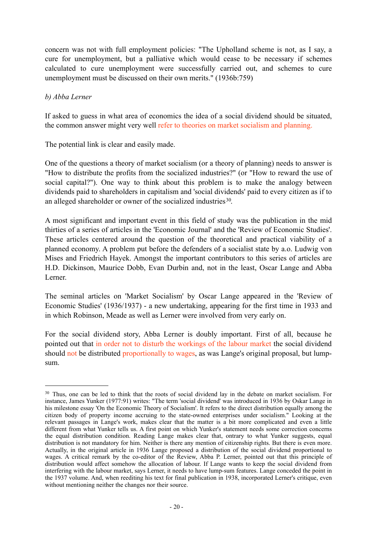concern was not with full employment policies: "The Upholland scheme is not, as I say, a cure for unemployment, but a palliative which would cease to be necessary if schemes calculated to cure unemployment were successfully carried out, and schemes to cure unemployment must be discussed on their own merits." (1936b:759)

#### *b) Abba Lerner*

If asked to guess in what area of economics the idea of a social dividend should be situated, the common answer might very well refer to theories on market socialism and planning.

The potential link is clear and easily made.

One of the questions a theory of market socialism (or a theory of planning) needs to answer is "How to distribute the profits from the socialized industries?" (or "How to reward the use of social capital?"). One way to think about this problem is to make the analogy between dividends paid to shareholders in capitalism and 'social dividends' paid to every citizen as if to an alleged shareholder or owner of the socialized industries<sup>[30](#page-19-0)</sup>.

A most significant and important event in this field of study was the publication in the mid thirties of a series of articles in the 'Economic Journal' and the 'Review of Economic Studies'. These articles centered around the question of the theoretical and practical viability of a planned economy. A problem put before the defenders of a socialist state by a.o. Ludwig von Mises and Friedrich Hayek. Amongst the important contributors to this series of articles are H.D. Dickinson, Maurice Dobb, Evan Durbin and, not in the least, Oscar Lange and Abba Lerner.

The seminal articles on 'Market Socialism' by Oscar Lange appeared in the 'Review of Economic Studies' (1936/1937) - a new undertaking, appearing for the first time in 1933 and in which Robinson, Meade as well as Lerner were involved from very early on.

For the social dividend story, Abba Lerner is doubly important. First of all, because he pointed out that in order not to disturb the workings of the labour market the social dividend should not be distributed proportionally to wages, as was Lange's original proposal, but lumpsum.

<span id="page-19-0"></span><sup>30</sup> Thus, one can be led to think that the roots of social dividend lay in the debate on market socialism. For instance, James Yunker (1977:91) writes: "The term 'social dividend' was introduced in 1936 by Oskar Lange in his milestone essay 'On the Economic Theory of Socialism'. It refers to the direct distribution equally among the his milestone essay 'On the Economic Theory of Socialism'. It refers to the direct distribution equally amon citizen body of property income accruing to the state-owned enterprises under socialism." Looking at the relevant passages in Lange's work, makes clear that the matter is a bit more complicated and even a little different from what Yunker tells us. A first point on which Yunker's statement needs some correction concerns the equal distribution condition. Reading Lange makes clear that, ontrary to what Yunker suggests, equal distribution is not mandatory for him. Neither is there any mention of citizenship rights. But there is even more. Actually, in the original article in 1936 Lange proposed a distribution of the social dividend proportional to wages. A critical remark by the co-editor of the Review, Abba P. Lerner, pointed out that this principle of distribution would affect somehow the allocation of labour. If Lange wants to keep the social dividend from interfering with the labour market, says Lerner, it needs to have lump-sum features. Lange conceded the point in the 1937 volume. And, when reediting his text for final publication in 1938, incorporated Lerner's critique, even without mentioning neither the changes nor their source.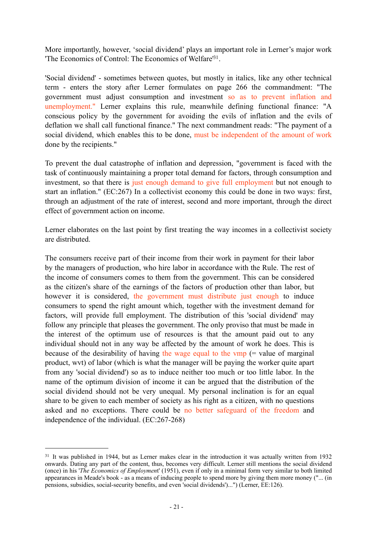More importantly, however, 'social dividend' plays an important role in Lerner's major work 'The Economics of Control: The Economics of Welfare['31](#page-20-0).

'Social dividend' - sometimes between quotes, but mostly in italics, like any other technical term - enters the story after Lerner formulates on page 266 the commandment: "The government must adjust consumption and investment so as to prevent inflation and unemployment." Lerner explains this rule, meanwhile defining functional finance: "A conscious policy by the government for avoiding the evils of inflation and the evils of deflation we shall call functional finance." The next commandment reads: "The payment of a social dividend, which enables this to be done, must be independent of the amount of work done by the recipients."

To prevent the dual catastrophe of inflation and depression, "government is faced with the task of continuously maintaining a proper total demand for factors, through consumption and investment, so that there is just enough demand to give full employment but not enough to start an inflation." (EC:267) In a collectivist economy this could be done in two ways: first, through an adjustment of the rate of interest, second and more important, through the direct effect of government action on income.

Lerner elaborates on the last point by first treating the way incomes in a collectivist society are distributed.

The consumers receive part of their income from their work in payment for their labor by the managers of production, who hire labor in accordance with the Rule. The rest of the income of consumers comes to them from the government. This can be considered as the citizen's share of the earnings of the factors of production other than labor, but however it is considered, the government must distribute just enough to induce consumers to spend the right amount which, together with the investment demand for factors, will provide full employment. The distribution of this 'social dividend' may follow any principle that pleases the government. The only proviso that must be made in the interest of the optimum use of resources is that the amount paid out to any individual should not in any way be affected by the amount of work he does. This is because of the desirability of having the wage equal to the vmp (= value of marginal product, wvt) of labor (which is what the manager will be paying the worker quite apart from any 'social dividend') so as to induce neither too much or too little labor. In the name of the optimum division of income it can be argued that the distribution of the social dividend should not be very unequal. My personal inclination is for an equal share to be given to each member of society as his right as a citizen, with no questions asked and no exceptions. There could be no better safeguard of the freedom and independence of the individual. (EC:267-268)

<span id="page-20-0"></span><sup>31</sup> It was published in 1944, but as Lerner makes clear in the introduction it was actually written from 1932 onwards. Dating any part of the content, thus, becomes very difficult. Lerner still mentions the social dividend (once) in his '*The Economics of Employmen*t' (1951), even if only in a minimal form very similar to both limited appearances in Meade's book - as a means of inducing people to spend more by giving them more money ("... (in pensions, subsidies, social-security benefits, and even 'social dividends')...") (Lerner, EE:126).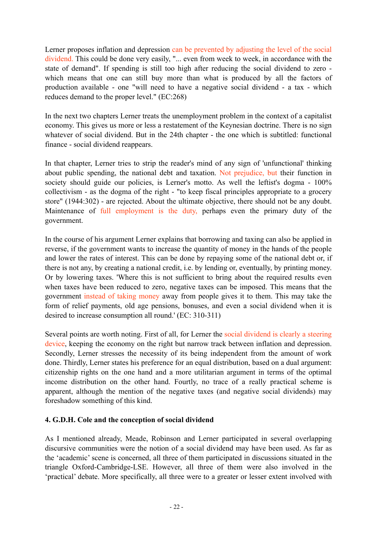Lerner proposes inflation and depression can be prevented by adjusting the level of the social dividend. This could be done very easily, "... even from week to week, in accordance with the state of demand". If spending is still too high after reducing the social dividend to zero which means that one can still buy more than what is produced by all the factors of production available - one "will need to have a negative social dividend - a tax - which reduces demand to the proper level." (EC:268)

In the next two chapters Lerner treats the unemployment problem in the context of a capitalist economy. This gives us more or less a restatement of the Keynesian doctrine. There is no sign whatever of social dividend. But in the 24th chapter - the one which is subtitled: functional finance - social dividend reappears.

In that chapter, Lerner tries to strip the reader's mind of any sign of 'unfunctional' thinking about public spending, the national debt and taxation. Not prejudice, but their function in society should guide our policies, is Lerner's motto. As well the leftist's dogma - 100% collectivism - as the dogma of the right - "to keep fiscal principles appropriate to a grocery store" (1944:302) - are rejected. About the ultimate objective, there should not be any doubt. Maintenance of full employment is the duty, perhaps even the primary duty of the government.

In the course of his argument Lerner explains that borrowing and taxing can also be applied in reverse, if the government wants to increase the quantity of money in the hands of the people and lower the rates of interest. This can be done by repaying some of the national debt or, if there is not any, by creating a national credit, i.e. by lending or, eventually, by printing money. Or by lowering taxes. 'Where this is not sufficient to bring about the required results even when taxes have been reduced to zero, negative taxes can be imposed. This means that the government instead of taking money away from people gives it to them. This may take the form of relief payments, old age pensions, bonuses, and even a social dividend when it is desired to increase consumption all round.' (EC: 310-311)

Several points are worth noting. First of all, for Lerner the social dividend is clearly a steering device, keeping the economy on the right but narrow track between inflation and depression. Secondly, Lerner stresses the necessity of its being independent from the amount of work done. Thirdly, Lerner states his preference for an equal distribution, based on a dual argument: citizenship rights on the one hand and a more utilitarian argument in terms of the optimal income distribution on the other hand. Fourtly, no trace of a really practical scheme is apparent, although the mention of the negative taxes (and negative social dividends) may foreshadow something of this kind.

# **4. G.D.H. Cole and the conception of social dividend**

As I mentioned already, Meade, Robinson and Lerner participated in several overlapping discursive communities were the notion of a social dividend may have been used. As far as the 'academic' scene is concerned, all three of them participated in discussions situated in the triangle Oxford-Cambridge-LSE. However, all three of them were also involved in the 'practical' debate. More specifically, all three were to a greater or lesser extent involved with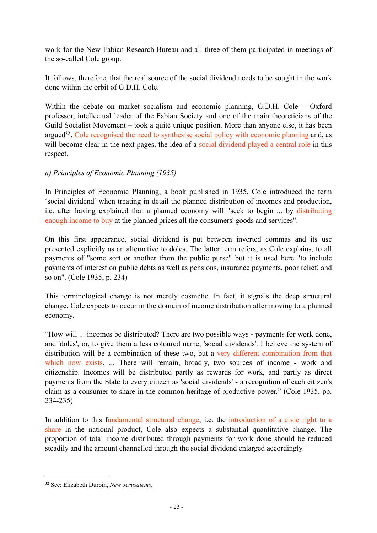work for the New Fabian Research Bureau and all three of them participated in meetings of the so-called Cole group.

It follows, therefore, that the real source of the social dividend needs to be sought in the work done within the orbit of G.D.H. Cole.

Within the debate on market socialism and economic planning, G.D.H. Cole – Oxford professor, intellectual leader of the Fabian Society and one of the main theoreticians of the Guild Socialist Movement – took a quite unique position. More than anyone else, it has been argue[d32,](#page-22-0) Cole recognised the need to synthesise social policy with economic planning and, as will become clear in the next pages, the idea of a social dividend played a central role in this respect.

## *a) Principles of Economic Planning (1935)*

In Principles of Economic Planning, a book published in 1935, Cole introduced the term 'social dividend' when treating in detail the planned distribution of incomes and production, i.e. after having explained that a planned economy will "seek to begin ... by distributing enough income to buy at the planned prices all the consumers' goods and services".

On this first appearance, social dividend is put between inverted commas and its use presented explicitly as an alternative to doles. The latter term refers, as Cole explains, to all payments of "some sort or another from the public purse" but it is used here "to include payments of interest on public debts as well as pensions, insurance payments, poor relief, and so on". (Cole 1935, p. 234).

This terminological change is not merely cosmetic. In fact, it signals the deep structural change, Cole expects to occur in the domain of income distribution after moving to a planned economy.

"How will ... incomes be distributed? There are two possible ways - payments for work done, and 'doles', or, to give them a less coloured name, 'social dividends'. I believe the system of distribution will be a combination of these two, but a very different combination from that which now exists. ... There will remain, broadly, two sources of income - work and citizenship. Incomes will be distributed partly as rewards for work, and partly as direct payments from the State to every citizen as 'social dividends' - a recognition of each citizen's claim as a consumer to share in the common heritage of productive power." (Cole 1935, pp. 234-235)

In addition to this fundamental structural change, i.e. the introduction of a civic right to a share in the national product, Cole also expects a substantial quantitative change. The proportion of total income distributed through payments for work done should be reduced steadily and the amount channelled through the social dividend enlarged accordingly.

<span id="page-22-0"></span><sup>32</sup> See: Elizabeth Durbin, *New Jerusalems*,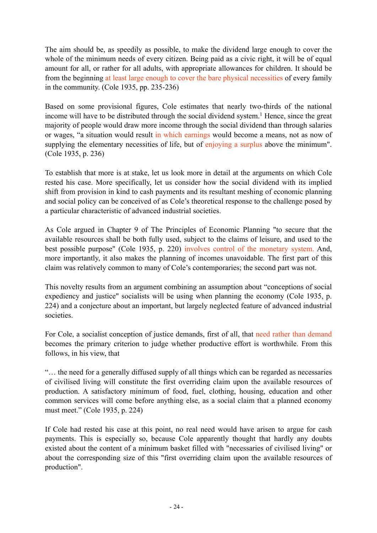The aim should be, as speedily as possible, to make the dividend large enough to cover the whole of the minimum needs of every citizen. Being paid as a civic right, it will be of equal amount for all, or rather for all adults, with appropriate allowances for children. It should be from the beginning at least large enough to cover the bare physical necessities of every family in the community. (Cole 1935, pp. 235-236)

Based on some provisional figures, Cole estimates that nearly two-thirds of the national income will have to be distributed through the social dividend system.<sup>1</sup> Hence, since the great majority of people would draw more income through the social dividend than through salaries or wages, "a situation would result in which earnings would become a means, not as now of supplying the elementary necessities of life, but of enjoying a surplus above the minimum". (Cole 1935, p. 236)

To establish that more is at stake, let us look more in detail at the arguments on which Cole rested his case. More specifically, let us consider how the social dividend with its implied shift from provision in kind to cash payments and its resultant meshing of economic planning and social policy can be conceived of as Cole's theoretical response to the challenge posed by a particular characteristic of advanced industrial societies.

As Cole argued in Chapter 9 of The Principles of Economic Planning "to secure that the available resources shall be both fully used, subject to the claims of leisure, and used to the best possible purpose" (Cole 1935, p. 220) involves control of the monetary system. And, more importantly, it also makes the planning of incomes unavoidable. The first part of this claim was relatively common to many of Cole's contemporaries; the second part was not.

This novelty results from an argument combining an assumption about "conceptions of social expediency and justice" socialists will be using when planning the economy (Cole 1935, p. 224) and a conjecture about an important, but largely neglected feature of advanced industrial societies.

For Cole, a socialist conception of justice demands, first of all, that need rather than demand becomes the primary criterion to judge whether productive effort is worthwhile. From this follows, in his view, that

"… the need for a generally diffused supply of all things which can be regarded as necessaries of civilised living will constitute the first overriding claim upon the available resources of production. A satisfactory minimum of food, fuel, clothing, housing, education and other common services will come before anything else, as a social claim that a planned economy must meet." (Cole 1935, p. 224)

If Cole had rested his case at this point, no real need would have arisen to argue for cash payments. This is especially so, because Cole apparently thought that hardly any doubts existed about the content of a minimum basket filled with "necessaries of civilised living" or about the corresponding size of this "first overriding claim upon the available resources of production".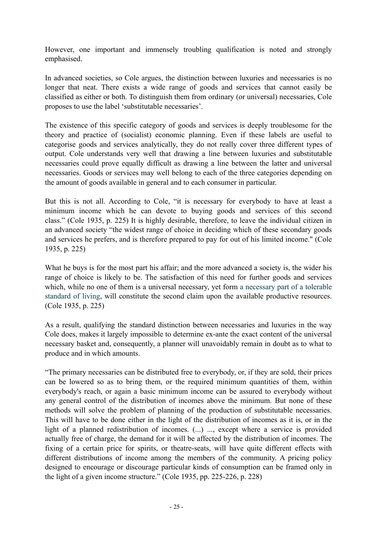However, one important and immensely troubling qualification is noted and strongly emphasised.

In advanced societies, so Cole argues, the distinction between luxuries and necessaries is no longer that neat. There exists a wide range of goods and services that cannot easily be classified as either or both. To distinguish them from ordinary (or universal) necessaries, Cole proposes to use the label 'substitutable necessaries'.

The existence of this specific category of goods and services is deeply troublesome for the theory and practice of (socialist) economic planning. Even if these labels are useful to categorise goods and services analytically, they do not really cover three different types of output. Cole understands very well that drawing a line between luxuries and substitutable necessaries could prove equally difficult as drawing a line between the latter and universal necessaries. Goods or services may well belong to each of the three categories depending on the amount of goods available in general and to each consumer in particular.

But this is not all. According to Cole, "it is necessary for everybody to have at least a minimum income which he can devote to buying goods and services of this second class." (Cole 1935, p. 225) It is highly desirable, therefore, to leave the individual citizen in an advanced society "the widest range of choice in deciding which of these secondary goods and services he prefers, and is therefore prepared to pay for out of his limited income." (Cole 1935, p. 225)

What he buys is for the most part his affair; and the more advanced a society is, the wider his range of choice is likely to be. The satisfaction of this need for further goods and services which, while no one of them is a universal necessary, yet form a necessary part of a tolerable standard of living, will constitute the second claim upon the available productive resources. (Cole 1935, p. 225)

As a result, qualifying the standard distinction between necessaries and luxuries in the way Cole does, makes it largely impossible to determine ex-ante the exact content of the universal necessary basket and, consequently, a planner will unavoidably remain in doubt as to what to produce and in which amounts.

"The primary necessaries can be distributed free to everybody, or, if they are sold, their prices can be lowered so as to bring them, or the required minimum quantities of them, within everybody's reach, or again a basic minimum income can be assured to everybody without any general control of the distribution of incomes above the minimum. But none of these methods will solve the problem of planning of the production of substitutable necessaries. This will have to be done either in the light of the distribution of incomes as it is, or in the light of a planned redistribution of incomes. (...) ..., except where a service is provided actually free of charge, the demand for it will be affected by the distribution of incomes. The fixing of a certain price for spirits, or theatre-seats, will have quite different effects with different distributions of income among the members of the community. A pricing policy designed to encourage or discourage particular kinds of consumption can be framed only in the light of a given income structure." (Cole 1935, pp. 225-226, p. 228)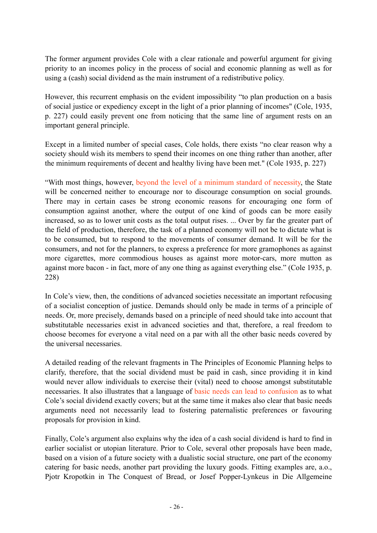The former argument provides Cole with a clear rationale and powerful argument for giving priority to an incomes policy in the process of social and economic planning as well as for using a (cash) social dividend as the main instrument of a redistributive policy.

However, this recurrent emphasis on the evident impossibility "to plan production on a basis of social justice or expediency except in the light of a prior planning of incomes" (Cole, 1935, p. 227) could easily prevent one from noticing that the same line of argument rests on an important general principle.

Except in a limited number of special cases, Cole holds, there exists "no clear reason why a society should wish its members to spend their incomes on one thing rather than another, after the minimum requirements of decent and healthy living have been met." (Cole 1935, p. 227)

"With most things, however, beyond the level of a minimum standard of necessity, the State will be concerned neither to encourage nor to discourage consumption on social grounds. There may in certain cases be strong economic reasons for encouraging one form of consumption against another, where the output of one kind of goods can be more easily increased, so as to lower unit costs as the total output rises. ... Over by far the greater part of the field of production, therefore, the task of a planned economy will not be to dictate what is to be consumed, but to respond to the movements of consumer demand. It will be for the consumers, and not for the planners, to express a preference for more gramophones as against more cigarettes, more commodious houses as against more motor-cars, more mutton as against more bacon - in fact, more of any one thing as against everything else." (Cole 1935, p. 228)

In Cole's view, then, the conditions of advanced societies necessitate an important refocusing of a socialist conception of justice. Demands should only be made in terms of a principle of needs. Or, more precisely, demands based on a principle of need should take into account that substitutable necessaries exist in advanced societies and that, therefore, a real freedom to choose becomes for everyone a vital need on a par with all the other basic needs covered by the universal necessaries.

A detailed reading of the relevant fragments in The Principles of Economic Planning helps to clarify, therefore, that the social dividend must be paid in cash, since providing it in kind would never allow individuals to exercise their (vital) need to choose amongst substitutable necessaries. It also illustrates that a language of basic needs can lead to confusion as to what Cole's social dividend exactly covers; but at the same time it makes also clear that basic needs arguments need not necessarily lead to fostering paternalistic preferences or favouring proposals for provision in kind.

Finally, Cole's argument also explains why the idea of a cash social dividend is hard to find in earlier socialist or utopian literature. Prior to Cole, several other proposals have been made, based on a vision of a future society with a dualistic social structure, one part of the economy catering for basic needs, another part providing the luxury goods. Fitting examples are, a.o., Pjotr Kropotkin in The Conquest of Bread, or Josef Popper-Lynkeus in Die Allgemeine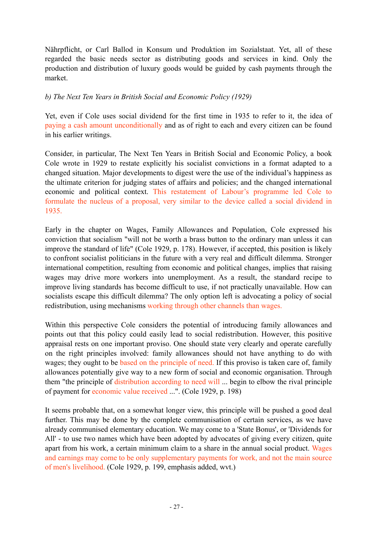Nährpflicht, or Carl Ballod in Konsum und Produktion im Sozialstaat. Yet, all of these regarded the basic needs sector as distributing goods and services in kind. Only the production and distribution of luxury goods would be guided by cash payments through the market.

#### *b) The Next Ten Years in British Social and Economic Policy (1929)*

Yet, even if Cole uses social dividend for the first time in 1935 to refer to it, the idea of paying a cash amount unconditionally and as of right to each and every citizen can be found in his earlier writings.

Consider, in particular, The Next Ten Years in British Social and Economic Policy, a book Cole wrote in 1929 to restate explicitly his socialist convictions in a format adapted to a changed situation. Major developments to digest were the use of the individual's happiness as the ultimate criterion for judging states of affairs and policies; and the changed international economic and political context. This restatement of Labour's programme led Cole to formulate the nucleus of a proposal, very similar to the device called a social dividend in 1935.

Early in the chapter on Wages, Family Allowances and Population, Cole expressed his conviction that socialism "will not be worth a brass button to the ordinary man unless it can improve the standard of life" (Cole 1929, p. 178). However, if accepted, this position is likely to confront socialist politicians in the future with a very real and difficult dilemma. Stronger international competition, resulting from economic and political changes, implies that raising wages may drive more workers into unemployment. As a result, the standard recipe to improve living standards has become difficult to use, if not practically unavailable. How can socialists escape this difficult dilemma? The only option left is advocating a policy of social redistribution, using mechanisms working through other channels than wages.

Within this perspective Cole considers the potential of introducing family allowances and points out that this policy could easily lead to social redistribution. However, this positive appraisal rests on one important proviso. One should state very clearly and operate carefully on the right principles involved: family allowances should not have anything to do with wages; they ought to be based on the principle of need. If this proviso is taken care of, family allowances potentially give way to a new form of social and economic organisation. Through them "the principle of distribution according to need will ... begin to elbow the rival principle of payment for economic value received ...". (Cole 1929, p. 198)

It seems probable that, on a somewhat longer view, this principle will be pushed a good deal further. This may be done by the complete communisation of certain services, as we have already communised elementary education. We may come to a 'State Bonus', or 'Dividends for All' - to use two names which have been adopted by advocates of giving every citizen, quite apart from his work, a certain minimum claim to a share in the annual social product. Wages and earnings may come to be only supplementary payments for work, and not the main source of men's livelihood. (Cole 1929, p. 199, emphasis added, wvt.)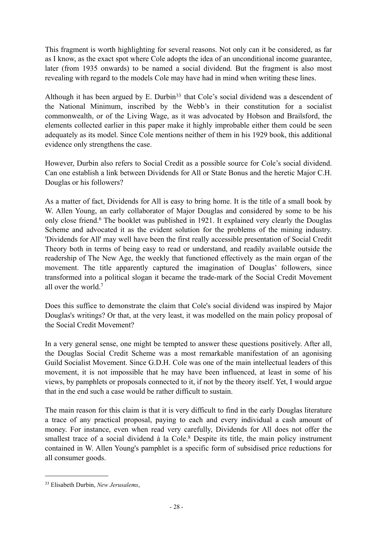This fragment is worth highlighting for several reasons. Not only can it be considered, as far as I know, as the exact spot where Cole adopts the idea of an unconditional income guarantee, later (from 1935 onwards) to be named a social dividend. But the fragment is also most revealing with regard to the models Cole may have had in mind when writing these lines.

Although it has been argued by E. Durbin<sup>33</sup> that Cole's social dividend was a descendent of the National Minimum, inscribed by the Webb's in their constitution for a socialist commonwealth, or of the Living Wage, as it was advocated by Hobson and Brailsford, the elements collected earlier in this paper make it highly improbable either them could be seen adequately as its model. Since Cole mentions neither of them in his 1929 book, this additional evidence only strengthens the case.

However, Durbin also refers to Social Credit as a possible source for Cole's social dividend. Can one establish a link between Dividends for All or State Bonus and the heretic Major C.H. Douglas or his followers?

As a matter of fact, Dividends for All is easy to bring home. It is the title of a small book by W. Allen Young, an early collaborator of Major Douglas and considered by some to be his only close friend.6 The booklet was published in 1921. It explained very clearly the Douglas Scheme and advocated it as the evident solution for the problems of the mining industry. 'Dividends for All' may well have been the first really accessible presentation of Social Credit Theory both in terms of being easy to read or understand, and readily available outside the readership of The New Age, the weekly that functioned effectively as the main organ of the movement. The title apparently captured the imagination of Douglas' followers, since transformed into a political slogan it became the trade-mark of the Social Credit Movement all over the world.7

Does this suffice to demonstrate the claim that Cole's social dividend was inspired by Major Douglas's writings? Or that, at the very least, it was modelled on the main policy proposal of the Social Credit Movement?

In a very general sense, one might be tempted to answer these questions positively. After all, the Douglas Social Credit Scheme was a most remarkable manifestation of an agonising Guild Socialist Movement. Since G.D.H. Cole was one of the main intellectual leaders of this movement, it is not impossible that he may have been influenced, at least in some of his views, by pamphlets or proposals connected to it, if not by the theory itself. Yet, I would argue that in the end such a case would be rather difficult to sustain.

The main reason for this claim is that it is very difficult to find in the early Douglas literature a trace of any practical proposal, paying to each and every individual a cash amount of money. For instance, even when read very carefully, Dividends for All does not offer the smallest trace of a social dividend à la Cole.<sup>8</sup> Despite its title, the main policy instrument contained in W. Allen Young's pamphlet is a specific form of subsidised price reductions for all consumer goods.

<span id="page-27-0"></span><sup>33</sup> Elisabeth Durbin, *New Jerusalems*,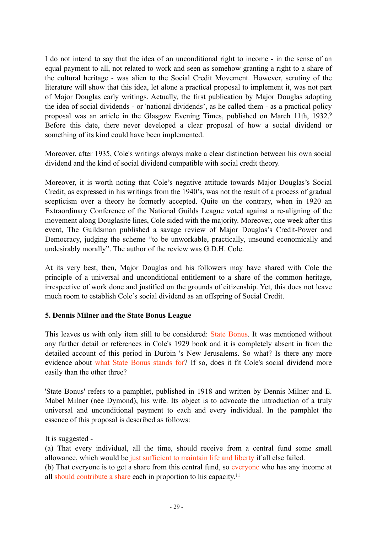I do not intend to say that the idea of an unconditional right to income - in the sense of an equal payment to all, not related to work and seen as somehow granting a right to a share of the cultural heritage - was alien to the Social Credit Movement. However, scrutiny of the literature will show that this idea, let alone a practical proposal to implement it, was not part of Major Douglas early writings. Actually, the first publication by Major Douglas adopting the idea of social dividends - or 'national dividends', as he called them - as a practical policy proposal was an article in the Glasgow Evening Times, published on March 11th, 1932.9 Before this date, there never developed a clear proposal of how a social dividend or something of its kind could have been implemented.

Moreover, after 1935, Cole's writings always make a clear distinction between his own social dividend and the kind of social dividend compatible with social credit theory.

Moreover, it is worth noting that Cole's negative attitude towards Major Douglas's Social Credit, as expressed in his writings from the 1940's, was not the result of a process of gradual scepticism over a theory he formerly accepted. Quite on the contrary, when in 1920 an Extraordinary Conference of the National Guilds League voted against a re-aligning of the movement along Douglasite lines, Cole sided with the majority. Moreover, one week after this event, The Guildsman published a savage review of Major Douglas's Credit-Power and Democracy, judging the scheme "to be unworkable, practically, unsound economically and undesirably morally". The author of the review was G.D.H. Cole.

At its very best, then, Major Douglas and his followers may have shared with Cole the principle of a universal and unconditional entitlement to a share of the common heritage, irrespective of work done and justified on the grounds of citizenship. Yet, this does not leave much room to establish Cole's social dividend as an offspring of Social Credit.

#### **5. Dennis Milner and the State Bonus League**

This leaves us with only item still to be considered: State Bonus. It was mentioned without any further detail or references in Cole's 1929 book and it is completely absent in from the detailed account of this period in Durbin 's New Jerusalems. So what? Is there any more evidence about what State Bonus stands for? If so, does it fit Cole's social dividend more easily than the other three?

'State Bonus' refers to a pamphlet, published in 1918 and written by Dennis Milner and E. Mabel Milner (née Dymond), his wife. Its object is to advocate the introduction of a truly universal and unconditional payment to each and every individual. In the pamphlet the essence of this proposal is described as follows:

It is suggested -

(a) That every individual, all the time, should receive from a central fund some small allowance, which would be just sufficient to maintain life and liberty if all else failed.

(b) That everyone is to get a share from this central fund, so everyone who has any income at all should contribute a share each in proportion to his capacity.11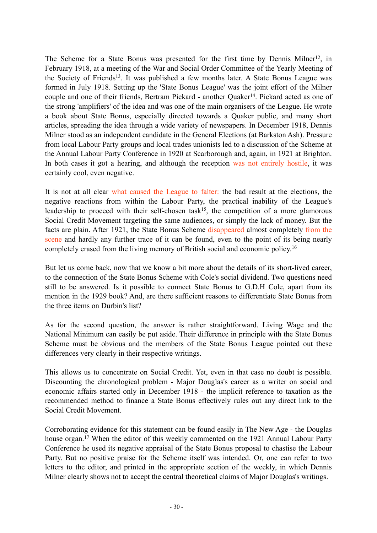The Scheme for a State Bonus was presented for the first time by Dennis Milner12, in February 1918, at a meeting of the War and Social Order Committee of the Yearly Meeting of the Society of Friends13. It was published a few months later. A State Bonus League was formed in July 1918. Setting up the 'State Bonus League' was the joint effort of the Milner couple and one of their friends. Bertram Pickard - another Quaker<sup>14</sup>. Pickard acted as one of the strong 'amplifiers' of the idea and was one of the main organisers of the League. He wrote a book about State Bonus, especially directed towards a Quaker public, and many short articles, spreading the idea through a wide variety of newspapers. In December 1918, Dennis Milner stood as an independent candidate in the General Elections (at Barkston Ash). Pressure from local Labour Party groups and local trades unionists led to a discussion of the Scheme at the Annual Labour Party Conference in 1920 at Scarborough and, again, in 1921 at Brighton. In both cases it got a hearing, and although the reception was not entirely hostile, it was certainly cool, even negative.

It is not at all clear what caused the League to falter: the bad result at the elections, the negative reactions from within the Labour Party, the practical inability of the League's leadership to proceed with their self-chosen task $15$ , the competition of a more glamorous Social Credit Movement targeting the same audiences, or simply the lack of money. But the facts are plain. After 1921, the State Bonus Scheme disappeared almost completely from the scene and hardly any further trace of it can be found, even to the point of its being nearly completely erased from the living memory of British social and economic policy.16

But let us come back, now that we know a bit more about the details of its short-lived career, to the connection of the State Bonus Scheme with Cole's social dividend. Two questions need still to be answered. Is it possible to connect State Bonus to G.D.H Cole, apart from its mention in the 1929 book? And, are there sufficient reasons to differentiate State Bonus from the three items on Durbin's list?

As for the second question, the answer is rather straightforward. Living Wage and the National Minimum can easily be put aside. Their difference in principle with the State Bonus Scheme must be obvious and the members of the State Bonus League pointed out these differences very clearly in their respective writings.

This allows us to concentrate on Social Credit. Yet, even in that case no doubt is possible. Discounting the chronological problem - Major Douglas's career as a writer on social and economic affairs started only in December 1918 - the implicit reference to taxation as the recommended method to finance a State Bonus effectively rules out any direct link to the Social Credit Movement.

Corroborating evidence for this statement can be found easily in The New Age - the Douglas house organ.<sup>17</sup> When the editor of this weekly commented on the 1921 Annual Labour Party Conference he used its negative appraisal of the State Bonus proposal to chastise the Labour Party. But no positive praise for the Scheme itself was intended. Or, one can refer to two letters to the editor, and printed in the appropriate section of the weekly, in which Dennis Milner clearly shows not to accept the central theoretical claims of Major Douglas's writings.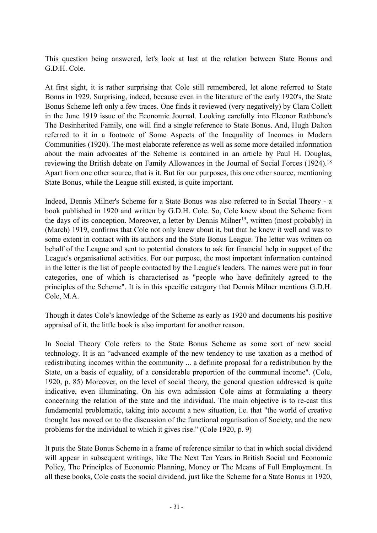This question being answered, let's look at last at the relation between State Bonus and G.D.H. Cole.

At first sight, it is rather surprising that Cole still remembered, let alone referred to State Bonus in 1929. Surprising, indeed, because even in the literature of the early 1920's, the State Bonus Scheme left only a few traces. One finds it reviewed (very negatively) by Clara Collett in the June 1919 issue of the Economic Journal. Looking carefully into Eleonor Rathbone's The Desinherited Family, one will find a single reference to State Bonus. And, Hugh Dalton referred to it in a footnote of Some Aspects of the Inequality of Incomes in Modern Communities (1920). The most elaborate reference as well as some more detailed information about the main advocates of the Scheme is contained in an article by Paul H. Douglas, reviewing the British debate on Family Allowances in the Journal of Social Forces (1924).18 Apart from one other source, that is it. But for our purposes, this one other source, mentioning State Bonus, while the League still existed, is quite important.

Indeed, Dennis Milner's Scheme for a State Bonus was also referred to in Social Theory - a book published in 1920 and written by G.D.H. Cole. So, Cole knew about the Scheme from the days of its conception. Moreover, a letter by Dennis Milner<sup>19</sup>, written (most probably) in (March) 1919, confirms that Cole not only knew about it, but that he knew it well and was to some extent in contact with its authors and the State Bonus League. The letter was written on behalf of the League and sent to potential donators to ask for financial help in support of the League's organisational activities. For our purpose, the most important information contained in the letter is the list of people contacted by the League's leaders. The names were put in four categories, one of which is characterised as "people who have definitely agreed to the principles of the Scheme". It is in this specific category that Dennis Milner mentions G.D.H. Cole, M.A.

Though it dates Cole's knowledge of the Scheme as early as 1920 and documents his positive appraisal of it, the little book is also important for another reason.

In Social Theory Cole refers to the State Bonus Scheme as some sort of new social technology. It is an "advanced example of the new tendency to use taxation as a method of redistributing incomes within the community ... a definite proposal for a redistribution by the State, on a basis of equality, of a considerable proportion of the communal income". (Cole, 1920, p. 85) Moreover, on the level of social theory, the general question addressed is quite indicative, even illuminating. On his own admission Cole aims at formulating a theory concerning the relation of the state and the individual. The main objective is to re-cast this fundamental problematic, taking into account a new situation, i.e. that "the world of creative thought has moved on to the discussion of the functional organisation of Society, and the new problems for the individual to which it gives rise." (Cole 1920, p. 9)

It puts the State Bonus Scheme in a frame of reference similar to that in which social dividend will appear in subsequent writings, like The Next Ten Years in British Social and Economic Policy, The Principles of Economic Planning, Money or The Means of Full Employment. In all these books, Cole casts the social dividend, just like the Scheme for a State Bonus in 1920,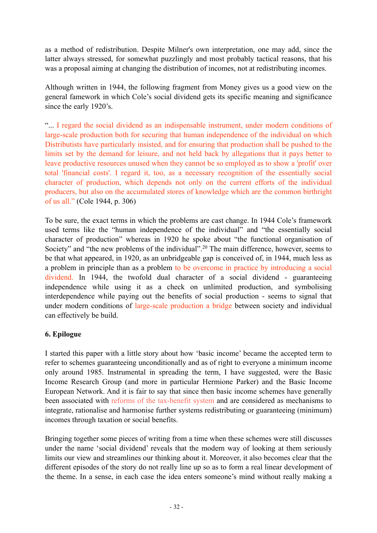as a method of redistribution. Despite Milner's own interpretation, one may add, since the latter always stressed, for somewhat puzzlingly and most probably tactical reasons, that his was a proposal aiming at changing the distribution of incomes, not at redistributing incomes.

Although written in 1944, the following fragment from Money gives us a good view on the general famework in which Cole's social dividend gets its specific meaning and significance since the early 1920's.

"... I regard the social dividend as an indispensable instrument, under modern conditions of large-scale production both for securing that human independence of the individual on which Distributists have particularly insisted, and for ensuring that production shall be pushed to the limits set by the demand for leisure, and not held back by allegations that it pays better to leave productive resources unused when they cannot be so employed as to show a 'profit' over total 'financial costs'. I regard it, too, as a necessary recognition of the essentially social character of production, which depends not only on the current efforts of the individual producers, but also on the accumulated stores of knowledge which are the common birthright of us all." (Cole 1944, p. 306)

To be sure, the exact terms in which the problems are cast change. In 1944 Cole's framework used terms like the "human independence of the individual" and "the essentially social character of production" whereas in 1920 he spoke about "the functional organisation of Society" and "the new problems of the individual".<sup>20</sup> The main difference, however, seems to be that what appeared, in 1920, as an unbridgeable gap is conceived of, in 1944, much less as a problem in principle than as a problem to be overcome in practice by introducing a social dividend. In 1944, the twofold dual character of a social dividend - guaranteeing independence while using it as a check on unlimited production, and symbolising interdependence while paying out the benefits of social production - seems to signal that under modern conditions of large-scale production a bridge between society and individual can effectively be build.

# **6. Epilogue**

I started this paper with a little story about how 'basic income' became the accepted term to refer to schemes guaranteeing unconditionally and as of right to everyone a minimum income only around 1985. Instrumental in spreading the term, I have suggested, were the Basic Income Research Group (and more in particular Hermione Parker) and the Basic Income European Network. And it is fair to say that since then basic income schemes have generally been associated with reforms of the tax-benefit system and are considered as mechanisms to integrate, rationalise and harmonise further systems redistributing or guaranteeing (minimum) incomes through taxation or social benefits.

Bringing together some pieces of writing from a time when these schemes were still discusses under the name 'social dividend' reveals that the modern way of looking at them seriously limits our view and streamlines our thinking about it. Moreover, it also becomes clear that the different episodes of the story do not really line up so as to form a real linear development of the theme. In a sense, in each case the idea enters someone's mind without really making a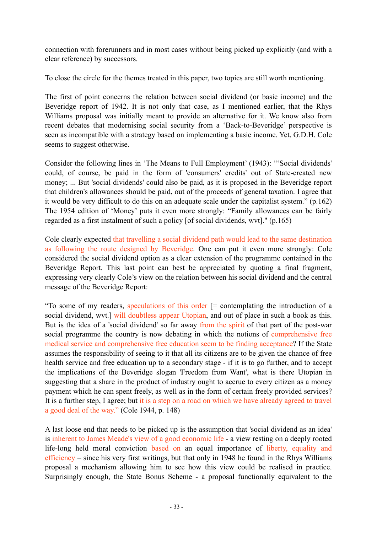connection with forerunners and in most cases without being picked up explicitly (and with a clear reference) by successors.

To close the circle for the themes treated in this paper, two topics are still worth mentioning.

The first of point concerns the relation between social dividend (or basic income) and the Beveridge report of 1942. It is not only that case, as I mentioned earlier, that the Rhys Williams proposal was initially meant to provide an alternative for it. We know also from recent debates that modernising social security from a 'Back-to-Beveridge' perspective is seen as incompatible with a strategy based on implementing a basic income. Yet, G.D.H. Cole seems to suggest otherwise.

Consider the following lines in 'The Means to Full Employment' (1943): "'Social dividends' could, of course, be paid in the form of 'consumers' credits' out of State-created new money; ... But 'social dividends' could also be paid, as it is proposed in the Beveridge report that children's allowances should be paid, out of the proceeds of general taxation. I agree that it would be very difficult to do this on an adequate scale under the capitalist system." (p.162) The 1954 edition of 'Money' puts it even more strongly: "Family allowances can be fairly regarded as a first instalment of such a policy [of social dividends, wvt]." (p.165)

Cole clearly expected that travelling a social dividend path would lead to the same destination as following the route designed by Beveridge. One can put it even more strongly: Cole considered the social dividend option as a clear extension of the programme contained in the Beveridge Report. This last point can best be appreciated by quoting a final fragment, expressing very clearly Cole's view on the relation between his social dividend and the central message of the Beveridge Report:

"To some of my readers, speculations of this order  $\equiv$  contemplating the introduction of a social dividend, wvt.] will doubtless appear Utopian, and out of place in such a book as this. But is the idea of a 'social dividend' so far away from the spirit of that part of the post-war social programme the country is now debating in which the notions of comprehensive free medical service and comprehensive free education seem to be finding acceptance? If the State assumes the responsibility of seeing to it that all its citizens are to be given the chance of free health service and free education up to a secondary stage - if it is to go further, and to accept the implications of the Beveridge slogan 'Freedom from Want', what is there Utopian in suggesting that a share in the product of industry ought to accrue to every citizen as a money payment which he can spent freely, as well as in the form of certain freely provided services? It is a further step, I agree; but it is a step on a road on which we have already agreed to travel a good deal of the way." (Cole 1944, p. 148)

A last loose end that needs to be picked up is the assumption that 'social dividend as an idea' is inherent to James Meade's view of a good economic life - a view resting on a deeply rooted life-long held moral conviction based on an equal importance of liberty, equality and efficiency – since his very first writings, but that only in 1948 he found in the Rhys Williams proposal a mechanism allowing him to see how this view could be realised in practice. Surprisingly enough, the State Bonus Scheme - a proposal functionally equivalent to the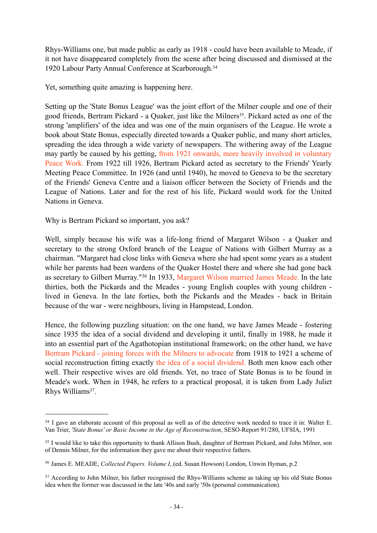Rhys-Williams one, but made public as early as 1918 - could have been available to Meade, if it not have disappeared completely from the scene after being discussed and dismissed at the 1920 Labour Party Annual Conference at Scarborough.<sup>[34](#page-33-0)</sup>

Yet, something quite amazing is happening here.

Setting up the 'State Bonus League' was the joint effort of the Milner couple and one of their good friends. Bertram Pickard - a Quaker, just like the Milners<sup>[35](#page-33-1)</sup>. Pickard acted as one of the strong 'amplifiers' of the idea and was one of the main organisers of the League. He wrote a book about State Bonus, especially directed towards a Quaker public, and many short articles, spreading the idea through a wide variety of newspapers. The withering away of the League may partly be caused by his getting, from 1921 onwards, more heavily involved in voluntary Peace Work. From 1922 till 1926, Bertram Pickard acted as secretary to the Friends' Yearly Meeting Peace Committee. In 1926 (and until 1940), he moved to Geneva to be the secretary of the Friends' Geneva Centre and a liaison officer between the Society of Friends and the League of Nations. Later and for the rest of his life, Pickard would work for the United Nations in Geneva.

Why is Bertram Pickard so important, you ask?

Well, simply because his wife was a life-long friend of Margaret Wilson - a Quaker and secretary to the strong Oxford branch of the League of Nations with Gilbert Murray as a chairman. "Margaret had close links with Geneva where she had spent some years as a student while her parents had been wardens of the Quaker Hostel there and where she had gone back as secretary to Gilbert Murray.["36](#page-33-2) In 1933, Margaret Wilson married James Meade. In the late thirties, both the Pickards and the Meades - young English couples with young children lived in Geneva. In the late forties, both the Pickards and the Meades - back in Britain because of the war - were neighbours, living in Hampstead, London.

Hence, the following puzzling situation: on the one hand, we have James Meade - fostering since 1935 the idea of a social dividend and developing it until, finally in 1988, he made it into an essential part of the Agathotopian institutional framework; on the other hand, we have Bertram Pickard - joining forces with the Milners to advocate from 1918 to 1921 a scheme of social reconstruction fitting exactly the idea of a social dividend. Both men know each other well. Their respective wives are old friends. Yet, no trace of State Bonus is to be found in Meade's work. When in 1948, he refers to a practical proposal, it is taken from Lady Juliet Rhys William[s37.](#page-33-3)

<span id="page-33-0"></span><sup>34</sup> I gave an elaborate account of this proposal as well as of the detective work needed to trace it in: Walter E. Van Trier, *'State Bonus' or Basic Income in the Age of Reconstruction*, SESO-Report 91/280, UFSIA, 1991

<span id="page-33-1"></span><sup>&</sup>lt;sup>35</sup> I would like to take this opportunity to thank Allison Bush, daughter of Bertram Pickard, and John Milner, son of Dennis Milner, for the information they gave me about their respective fathers.

<span id="page-33-2"></span><sup>36</sup> James E. MEADE, *Collected Papers. Volume I*, (ed. Susan Howson) London, Unwin Hyman, p.2

<span id="page-33-3"></span><sup>37</sup> According to John Milner, his father recognised the Rhys-Williams scheme as taking up his old State Bonus idea when the former was discussed in the late '40s and early '50s (personal communication).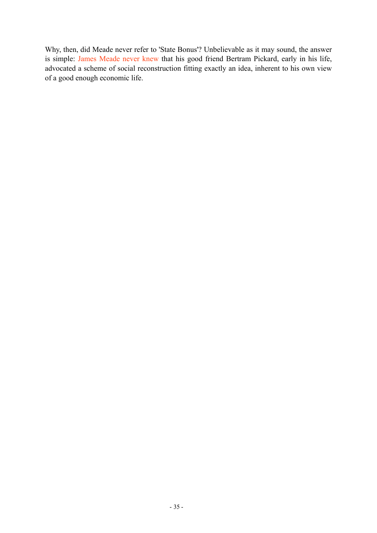Why, then, did Meade never refer to 'State Bonus'? Unbelievable as it may sound, the answer is simple: James Meade never knew that his good friend Bertram Pickard, early in his life, advocated a scheme of social reconstruction fitting exactly an idea, inherent to his own view of a good enough economic life.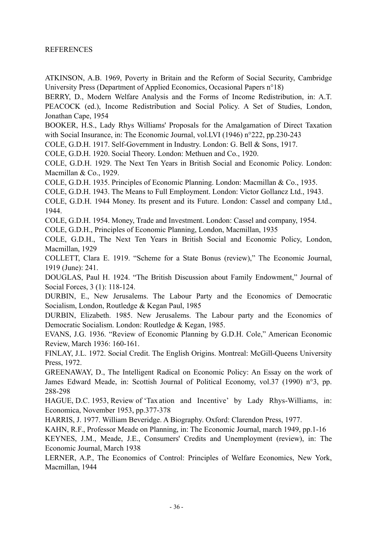#### **REFERENCES**

ATKINSON, A.B. 1969, Poverty in Britain and the Reform of Social Security, Cambridge University Press (Department of Applied Economics, Occasional Papers n°18)

BERRY, D., Modern Welfare Analysis and the Forms of Income Redistribution, in: A.T. PEACOCK (ed.), Income Redistribution and Social Policy. A Set of Studies, London, Jonathan Cape, 1954

BOOKER, H.S., Lady Rhys Williams' Proposals for the Amalgamation of Direct Taxation with Social Insurance, in: The Economic Journal, vol.LVI (1946) n°222, pp.230-243

COLE, G.D.H. 1917. Self-Government in Industry. London: G. Bell & Sons, 1917.

COLE, G.D.H. 1920. Social Theory. London: Methuen and Co., 1920.

COLE, G.D.H. 1929. The Next Ten Years in British Social and Economic Policy. London: Macmillan & Co., 1929.

COLE, G.D.H. 1935. Principles of Economic Planning. London: Macmillan & Co., 1935.

COLE, G.D.H. 1943. The Means to Full Employment. London: Victor Gollancz Ltd., 1943.

COLE, G.D.H. 1944 Money. Its present and its Future. London: Cassel and company Ltd., 1944.

COLE, G.D.H. 1954. Money, Trade and Investment. London: Cassel and company, 1954.

COLE, G.D.H., Principles of Economic Planning, London, Macmillan, 1935

COLE, G.D.H., The Next Ten Years in British Social and Economic Policy, London, Macmillan, 1929

COLLETT, Clara E. 1919. "Scheme for a State Bonus (review)," The Economic Journal, 1919 (June): 241.

DOUGLAS, Paul H. 1924. "The British Discussion about Family Endowment," Journal of Social Forces, 3 (1): 118-124.

DURBIN, E., New Jerusalems. The Labour Party and the Economics of Democratic Socialism, London, Routledge & Kegan Paul, 1985

DURBIN, Elizabeth. 1985. New Jerusalems. The Labour party and the Economics of Democratic Socialism. London: Routledge & Kegan, 1985.

EVANS, J.G. 1936. "Review of Economic Planning by G.D.H. Cole," American Economic Review, March 1936: 160-161.

FINLAY, J.L. 1972. Social Credit. The English Origins. Montreal: McGill-Queens University Press, 1972.

GREENAWAY, D., The Intelligent Radical on Economic Policy: An Essay on the work of James Edward Meade, in: Scottish Journal of Political Economy, vol.37 (1990) n°3, pp. 288-298

HAGUE, D.C. 1953, Review of 'Tax ation and Incentive' by Lady Rhys-Williams, in: Economica, November 1953, pp.377-378

HARRIS, J. 1977. William Beveridge. A Biography. Oxford: Clarendon Press, 1977.

KAHN, R.F., Professor Meade on Planning, in: The Economic Journal, march 1949, pp.1-16

KEYNES, J.M., Meade, J.E., Consumers' Credits and Unemployment (review), in: The Economic Journal, March 1938

LERNER, A.P., The Economics of Control: Principles of Welfare Economics, New York, Macmillan, 1944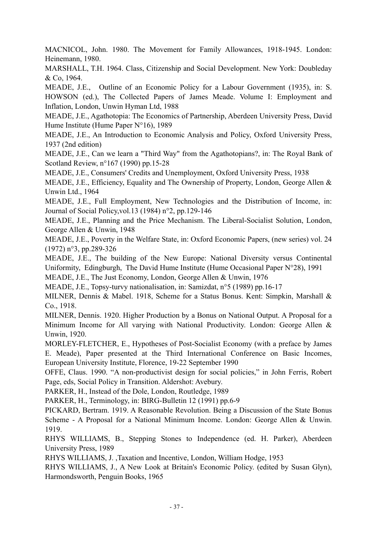MACNICOL, John. 1980. The Movement for Family Allowances, 1918-1945. London: Heinemann, 1980.

MARSHALL, T.H. 1964. Class, Citizenship and Social Development. New York: Doubleday  $&$  Co, 1964.

MEADE, J.E., Outline of an Economic Policy for a Labour Government (1935), in: S. HOWSON (ed.), The Collected Papers of James Meade. Volume I: Employment and Inflation, London, Unwin Hyman Ltd, 1988

MEADE, J.E., Agathotopia: The Economics of Partnership, Aberdeen University Press, David Hume Institute (Hume Paper N°16), 1989

MEADE, J.E., An Introduction to Economic Analysis and Policy, Oxford University Press, 1937 (2nd edition)

MEADE, J.E., Can we learn a "Third Way" from the Agathotopians?, in: The Royal Bank of Scotland Review, n°167 (1990) pp.15-28

MEADE, J.E., Consumers' Credits and Unemployment, Oxford University Press, 1938

MEADE, J.E., Efficiency, Equality and The Ownership of Property, London, George Allen & Unwin Ltd., 1964

MEADE, J.E., Full Employment, New Technologies and the Distribution of Income, in: Journal of Social Policy,vol.13 (1984) n°2, pp.129-146

MEADE, J.E., Planning and the Price Mechanism. The Liberal-Socialist Solution, London, George Allen & Unwin, 1948

MEADE, J.E., Poverty in the Welfare State, in: Oxford Economic Papers, (new series) vol. 24 (1972) n°3, pp.289-326

MEADE, J.E., The building of the New Europe: National Diversity versus Continental Uniformity, Edingburgh, The David Hume Institute (Hume Occasional Paper N°28), 1991

MEADE, J.E., The Just Economy, London, George Allen & Unwin, 1976

MEADE, J.E., Topsy-turvy nationalisation, in: Samizdat, n°5 (1989) pp.16-17

MILNER, Dennis & Mabel. 1918, Scheme for a Status Bonus. Kent: Simpkin, Marshall & Co., 1918.

MILNER, Dennis. 1920. Higher Production by a Bonus on National Output. A Proposal for a Minimum Income for All varying with National Productivity. London: George Allen & Unwin, 1920.

MORLEY-FLETCHER, E., Hypotheses of Post-Socialist Economy (with a preface by James E. Meade), Paper presented at the Third International Conference on Basic Incomes, European University Institute, Florence, 19-22 September 1990

OFFE, Claus. 1990. "A non-productivist design for social policies," in John Ferris, Robert Page, eds, Social Policy in Transition. Aldershot: Avebury.

PARKER, H., Instead of the Dole, London, Routledge, 1989

PARKER, H., Terminology, in: BIRG-Bulletin 12 (1991) pp.6-9

PICKARD, Bertram. 1919. A Reasonable Revolution. Being a Discussion of the State Bonus Scheme - A Proposal for a National Minimum Income. London: George Allen & Unwin. 1919.

RHYS WILLIAMS, B., Stepping Stones to Independence (ed. H. Parker), Aberdeen University Press, 1989

RHYS WILLIAMS, J. ,Taxation and Incentive, London, William Hodge, 1953

RHYS WILLIAMS, J., A New Look at Britain's Economic Policy. (edited by Susan Glyn), Harmondsworth, Penguin Books, 1965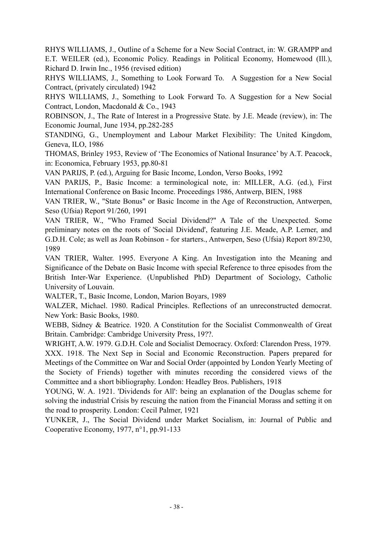RHYS WILLIAMS, J. Outline of a Scheme for a New Social Contract, in: W. GRAMPP and E.T. WEILER (ed.), Economic Policy. Readings in Political Economy, Homewood (Ill.), Richard D. Irwin Inc., 1956 (revised edition)

RHYS WILLIAMS, J., Something to Look Forward To. A Suggestion for a New Social Contract, (privately circulated) 1942

RHYS WILLIAMS, J., Something to Look Forward To. A Suggestion for a New Social Contract, London, Macdonald & Co., 1943

ROBINSON, J., The Rate of Interest in a Progressive State. by J.E. Meade (review), in: The Economic Journal, June 1934, pp.282-285

STANDING, G., Unemployment and Labour Market Flexibility: The United Kingdom, Geneva, ILO, 1986

THOMAS, Brinley 1953, Review of 'The Economics of National Insurance' by A.T. Peacock, in: Economica, February 1953, pp.80-81

VAN PARIJS, P. (ed.), Arguing for Basic Income, London, Verso Books, 1992

VAN PARIJS, P., Basic Income: a terminological note, in: MILLER, A.G. (ed.), First International Conference on Basic Income. Proceedings 1986, Antwerp, BIEN, 1988

VAN TRIER, W., "State Bonus" or Basic Income in the Age of Reconstruction, Antwerpen, Seso (Ufsia) Report 91/260, 1991

VAN TRIER, W., "Who Framed Social Dividend?" A Tale of the Unexpected. Some preliminary notes on the roots of 'Social Dividend', featuring J.E. Meade, A.P. Lerner, and G.D.H. Cole; as well as Joan Robinson - for starters. Antwerpen, Seso (Ufsia) Report 89/230 1989

VAN TRIER, Walter. 1995. Everyone A King. An Investigation into the Meaning and Significance of the Debate on Basic Income with special Reference to three episodes from the British Inter-War Experience. (Unpublished PhD) Department of Sociology, Catholic University of Louvain.

WALTER, T., Basic Income, London, Marion Boyars, 1989

WALZER, Michael. 1980. Radical Principles. Reflections of an unreconstructed democrat. New York: Basic Books, 1980.

WEBB, Sidney & Beatrice. 1920. A Constitution for the Socialist Commonwealth of Great Britain. Cambridge: Cambridge University Press, 19??.

WRIGHT, A.W. 1979. G.D.H. Cole and Socialist Democracy. Oxford: Clarendon Press, 1979.

XXX. 1918. The Next Sep in Social and Economic Reconstruction. Papers prepared for Meetings of the Committee on War and Social Order (appointed by London Yearly Meeting of the Society of Friends) together with minutes recording the considered views of the Committee and a short bibliography. London: Headley Bros. Publishers, 1918

YOUNG, W. A. 1921. 'Dividends for All': being an explanation of the Douglas scheme for solving the industrial Crisis by rescuing the nation from the Financial Morass and setting it on the road to prosperity. London: Cecil Palmer, 1921

YUNKER, J., The Social Dividend under Market Socialism, in: Journal of Public and Cooperative Economy, 1977, n°1, pp.91-133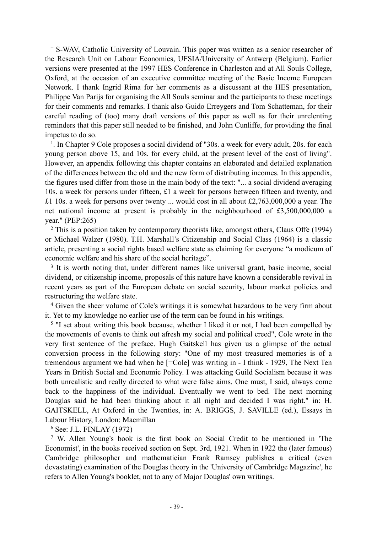+ S-WAV, Catholic University of Louvain. This paper was written as a senior researcher of the Research Unit on Labour Economics, UFSIA/University of Antwerp (Belgium). Earlier versions were presented at the 1997 HES Conference in Charleston and at All Souls College, Oxford, at the occasion of an executive committee meeting of the Basic Income European Network. I thank Ingrid Rima for her comments as a discussant at the HES presentation, Philippe Van Parijs for organising the All Souls seminar and the participants to these meetings for their comments and remarks. I thank also Guido Erreygers and Tom Schatteman, for their careful reading of (too) many draft versions of this paper as well as for their unrelenting reminders that this paper still needed to be finished, and John Cunliffe, for providing the final impetus to do so.

<sup>1</sup>. In Chapter 9 Cole proposes a social dividend of "30s. a week for every adult, 20s. for each young person above 15, and 10s. for every child, at the present level of the cost of living". However, an appendix following this chapter contains an elaborated and detailed explanation of the differences between the old and the new form of distributing incomes. In this appendix, the figures used differ from those in the main body of the text: "... a social dividend averaging 10s. a week for persons under fifteen, £1 a week for persons between fifteen and twenty, and £1 10s. a week for persons over twenty ... would cost in all about £2,763,000,000 a year. The net national income at present is probably in the neighbourhood of £3,500,000,000 a vear." (PEP:265)

2 This is a position taken by contemporary theorists like, amongst others, Claus Offe (1994) or Michael Walzer (1980). T.H. Marshall's Citizenship and Social Class (1964) is a classic article, presenting a social rights based welfare state as claiming for everyone "a modicum of economic welfare and his share of the social heritage".

3 It is worth noting that, under different names like universal grant, basic income, social dividend, or citizenship income, proposals of this nature have known a considerable revival in recent years as part of the European debate on social security, labour market policies and restructuring the welfare state.

4 Given the sheer volume of Cole's writings it is somewhat hazardous to be very firm about it. Yet to my knowledge no earlier use of the term can be found in his writings.

<sup>5</sup> "I set about writing this book because, whether I liked it or not. I had been compelled by the movements of events to think out afresh my social and political creed", Cole wrote in the very first sentence of the preface. Hugh Gaitskell has given us a glimpse of the actual conversion process in the following story: "One of my most treasured memories is of a tremendous argument we had when he [=Cole] was writing in - I think - 1929, The Next Ten Years in British Social and Economic Policy. I was attacking Guild Socialism because it was both unrealistic and really directed to what were false aims. One must, I said, always come back to the happiness of the individual. Eventually we went to bed. The next morning Douglas said he had been thinking about it all night and decided I was right." in: H. GAITSKELL, At Oxford in the Twenties, in: A. BRIGGS, J. SAVILLE (ed.), Essays in Labour History, London: Macmillan

6 See: J.L. FINLAY (1972)

7 W. Allen Young's book is the first book on Social Credit to be mentioned in 'The Economist', in the books received section on Sept. 3rd, 1921. When in 1922 the (later famous) Cambridge philosopher and mathematician Frank Ramsey publishes a critical (even devastating) examination of the Douglas theory in the 'University of Cambridge Magazine', he refers to Allen Young's booklet, not to any of Major Douglas' own writings.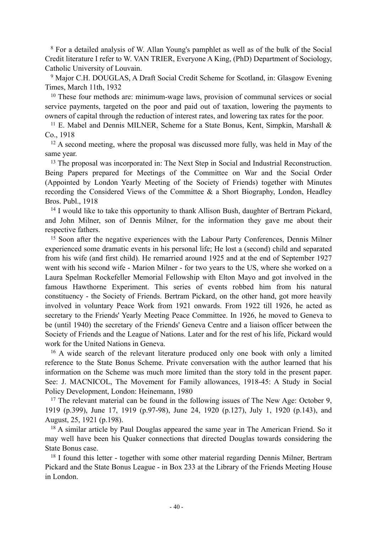8 For a detailed analysis of W. Allan Young's pamphlet as well as of the bulk of the Social Credit literature I refer to W. VAN TRIER, Everyone A King, (PhD) Department of Sociology, Catholic University of Louvain.

9 Major C.H. DOUGLAS, A Draft Social Credit Scheme for Scotland, in: Glasgow Evening Times, March 11th, 1932

<sup>10</sup> These four methods are: minimum-wage laws, provision of communal services or social service payments, targeted on the poor and paid out of taxation, lowering the payments to owners of capital through the reduction of interest rates, and lowering tax rates for the poor.

<sup>11</sup> E. Mabel and Dennis MILNER, Scheme for a State Bonus, Kent, Simpkin, Marshall & Co., 1918

 $12$  A second meeting, where the proposal was discussed more fully, was held in May of the same year.

<sup>13</sup> The proposal was incorporated in: The Next Step in Social and Industrial Reconstruction. Being Papers prepared for Meetings of the Committee on War and the Social Order (Appointed by London Yearly Meeting of the Society of Friends) together with Minutes recording the Considered Views of the Committee & a Short Biography, London, Headley Bros. Publ., 1918

<sup>14</sup> I would like to take this opportunity to thank Allison Bush, daughter of Bertram Pickard, and John Milner, son of Dennis Milner, for the information they gave me about their respective fathers.

15 Soon after the negative experiences with the Labour Party Conferences, Dennis Milner experienced some dramatic events in his personal life; He lost a (second) child and separated from his wife (and first child). He remarried around 1925 and at the end of September 1927 went with his second wife - Marion Milner - for two years to the US, where she worked on a Laura Spelman Rockefeller Memorial Fellowship with Elton Mayo and got involved in the famous Hawthorne Experiment. This series of events robbed him from his natural constituency - the Society of Friends. Bertram Pickard, on the other hand, got more heavily involved in voluntary Peace Work from 1921 onwards. From 1922 till 1926, he acted as secretary to the Friends' Yearly Meeting Peace Committee. In 1926, he moved to Geneva to be (until 1940) the secretary of the Friends' Geneva Centre and a liaison officer between the Society of Friends and the League of Nations. Later and for the rest of his life, Pickard would work for the United Nations in Geneva.

16 A wide search of the relevant literature produced only one book with only a limited reference to the State Bonus Scheme. Private conversation with the author learned that his information on the Scheme was much more limited than the story told in the present paper. See: J. MACNICOL, The Movement for Family allowances, 1918-45: A Study in Social Policy Development, London: Heinemann, 1980

17 The relevant material can be found in the following issues of The New Age: October 9, 1919 (p.399), June 17, 1919 (p.97-98), June 24, 1920 (p.127), July 1, 1920 (p.143), and August, 25, 1921 (p.198).

<sup>18</sup> A similar article by Paul Douglas appeared the same year in The American Friend. So it may well have been his Quaker connections that directed Douglas towards considering the State Bonus case.

18 I found this letter - together with some other material regarding Dennis Milner, Bertram Pickard and the State Bonus League - in Box 233 at the Library of the Friends Meeting House in London.